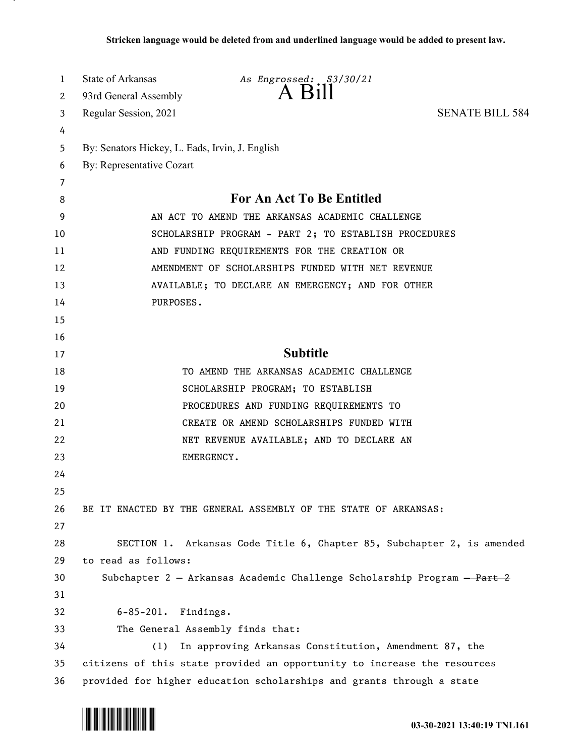| 1  | State of Arkansas                               | As Engrossed: S3/30/21                                                   |                        |
|----|-------------------------------------------------|--------------------------------------------------------------------------|------------------------|
| 2  | 93rd General Assembly                           | A Bill                                                                   |                        |
| 3  | Regular Session, 2021                           |                                                                          | <b>SENATE BILL 584</b> |
| 4  |                                                 |                                                                          |                        |
| 5  | By: Senators Hickey, L. Eads, Irvin, J. English |                                                                          |                        |
| 6  | By: Representative Cozart                       |                                                                          |                        |
| 7  |                                                 |                                                                          |                        |
| 8  |                                                 | For An Act To Be Entitled                                                |                        |
| 9  |                                                 | AN ACT TO AMEND THE ARKANSAS ACADEMIC CHALLENGE                          |                        |
| 10 |                                                 | SCHOLARSHIP PROGRAM - PART 2; TO ESTABLISH PROCEDURES                    |                        |
| 11 |                                                 | AND FUNDING REQUIREMENTS FOR THE CREATION OR                             |                        |
| 12 |                                                 | AMENDMENT OF SCHOLARSHIPS FUNDED WITH NET REVENUE                        |                        |
| 13 |                                                 | AVAILABLE; TO DECLARE AN EMERGENCY; AND FOR OTHER                        |                        |
| 14 | PURPOSES.                                       |                                                                          |                        |
| 15 |                                                 |                                                                          |                        |
| 16 |                                                 |                                                                          |                        |
| 17 |                                                 | <b>Subtitle</b>                                                          |                        |
| 18 |                                                 | TO AMEND THE ARKANSAS ACADEMIC CHALLENGE                                 |                        |
| 19 |                                                 | SCHOLARSHIP PROGRAM; TO ESTABLISH                                        |                        |
| 20 |                                                 | PROCEDURES AND FUNDING REQUIREMENTS TO                                   |                        |
| 21 |                                                 | CREATE OR AMEND SCHOLARSHIPS FUNDED WITH                                 |                        |
| 22 |                                                 | NET REVENUE AVAILABLE; AND TO DECLARE AN                                 |                        |
| 23 | EMERGENCY.                                      |                                                                          |                        |
| 24 |                                                 |                                                                          |                        |
| 25 |                                                 |                                                                          |                        |
| 26 |                                                 | BE IT ENACTED BY THE GENERAL ASSEMBLY OF THE STATE OF ARKANSAS:          |                        |
| 27 |                                                 |                                                                          |                        |
| 28 |                                                 | SECTION 1. Arkansas Code Title 6, Chapter 85, Subchapter 2, is amended   |                        |
| 29 | to read as follows:                             |                                                                          |                        |
| 30 |                                                 | Subchapter 2 - Arkansas Academic Challenge Scholarship Program - Part 2  |                        |
| 31 |                                                 |                                                                          |                        |
| 32 | $6 - 85 - 201$ .<br>Findings.                   |                                                                          |                        |
| 33 | The General Assembly finds that:                |                                                                          |                        |
| 34 | (1)                                             | In approving Arkansas Constitution, Amendment 87, the                    |                        |
| 35 |                                                 | citizens of this state provided an opportunity to increase the resources |                        |
| 36 |                                                 | provided for higher education scholarships and grants through a state    |                        |

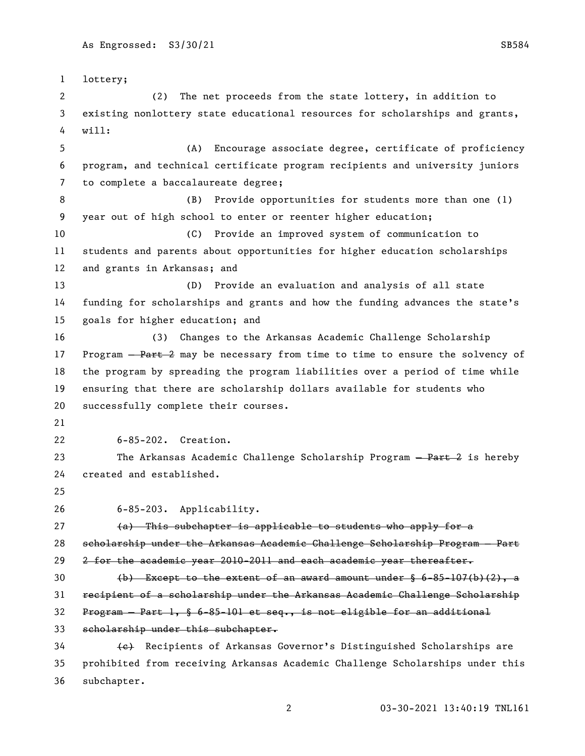lottery; (2) The net proceeds from the state lottery, in addition to existing nonlottery state educational resources for scholarships and grants, will: (A) Encourage associate degree, certificate of proficiency program, and technical certificate program recipients and university juniors to complete a baccalaureate degree; (B) Provide opportunities for students more than one (1) year out of high school to enter or reenter higher education; (C) Provide an improved system of communication to students and parents about opportunities for higher education scholarships and grants in Arkansas; and (D) Provide an evaluation and analysis of all state funding for scholarships and grants and how the funding advances the state's goals for higher education; and (3) Changes to the Arkansas Academic Challenge Scholarship 17 Program – Part 2 may be necessary from time to time to ensure the solvency of the program by spreading the program liabilities over a period of time while ensuring that there are scholarship dollars available for students who successfully complete their courses. 6-85-202. Creation. 23 The Arkansas Academic Challenge Scholarship Program - Part 2 is hereby created and established. 6-85-203. Applicability. (a) This subchapter is applicable to students who apply for a scholarship under the Arkansas Academic Challenge Scholarship Program — Part 29 2 for the academic year 2010-2011 and each academic year thereafter.  $\left(\frac{b}{b}\right)$  Except to the extent of an award amount under § 6-85-107(b)(2), a recipient of a scholarship under the Arkansas Academic Challenge Scholarship Program — Part 1, § 6-85-101 et seq., is not eligible for an additional scholarship under this subchapter. 34 (e) Recipients of Arkansas Governor's Distinguished Scholarships are prohibited from receiving Arkansas Academic Challenge Scholarships under this

subchapter.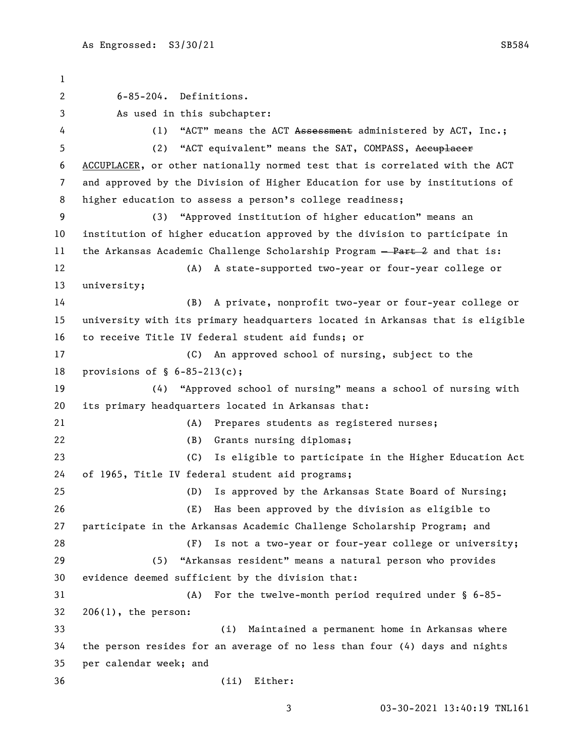6-85-204. Definitions. As used in this subchapter: 4 (1) "ACT" means the ACT Assessment administered by ACT, Inc.; 5 (2) "ACT equivalent" means the SAT, COMPASS, Accuplacer ACCUPLACER, or other nationally normed test that is correlated with the ACT and approved by the Division of Higher Education for use by institutions of higher education to assess a person's college readiness; (3) "Approved institution of higher education" means an institution of higher education approved by the division to participate in 11 the Arkansas Academic Challenge Scholarship Program - Part 2 and that is: (A) A state-supported two-year or four-year college or university; (B) A private, nonprofit two-year or four-year college or university with its primary headquarters located in Arkansas that is eligible to receive Title IV federal student aid funds; or (C) An approved school of nursing, subject to the provisions of § 6-85-213(c); (4) "Approved school of nursing" means a school of nursing with its primary headquarters located in Arkansas that: (A) Prepares students as registered nurses; (B) Grants nursing diplomas; (C) Is eligible to participate in the Higher Education Act of 1965, Title IV federal student aid programs; (D) Is approved by the Arkansas State Board of Nursing; (E) Has been approved by the division as eligible to participate in the Arkansas Academic Challenge Scholarship Program; and (F) Is not a two-year or four-year college or university; (5) "Arkansas resident" means a natural person who provides evidence deemed sufficient by the division that: (A) For the twelve-month period required under § 6-85- 206(1), the person: (i) Maintained a permanent home in Arkansas where the person resides for an average of no less than four (4) days and nights per calendar week; and (ii) Either: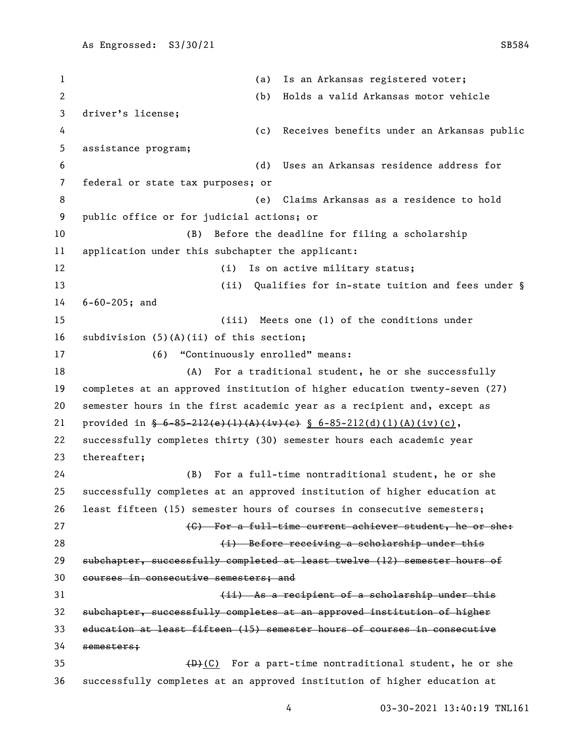(a) Is an Arkansas registered voter; (b) Holds a valid Arkansas motor vehicle driver's license; (c) Receives benefits under an Arkansas public assistance program; (d) Uses an Arkansas residence address for federal or state tax purposes; or (e) Claims Arkansas as a residence to hold public office or for judicial actions; or (B) Before the deadline for filing a scholarship application under this subchapter the applicant: 12 (i) Is on active military status; 13 (ii) Qualifies for in-state tuition and fees under § 6-60-205; and (iii) Meets one (1) of the conditions under subdivision (5)(A)(ii) of this section; (6) "Continuously enrolled" means: 18 (A) For a traditional student, he or she successfully completes at an approved institution of higher education twenty-seven (27) semester hours in the first academic year as a recipient and, except as 21 provided in  $\frac{6-85-212(e)(1)(A)(iv)(e)}{8}$   $6-85-212(d)(1)(A)(iv)(c)$ , successfully completes thirty (30) semester hours each academic year thereafter; (B) For a full-time nontraditional student, he or she successfully completes at an approved institution of higher education at least fifteen (15) semester hours of courses in consecutive semesters; **Examber 19 Text** a full-time current achiever student, he or shet (i) Before receiving a scholarship under this subchapter, successfully completed at least twelve (12) semester hours of courses in consecutive semesters; and (ii) As a recipient of a scholarship under this subchapter, successfully completes at an approved institution of higher education at least fifteen (15) semester hours of courses in consecutive semesters;  $(B)+(C)$  For a part-time nontraditional student, he or she successfully completes at an approved institution of higher education at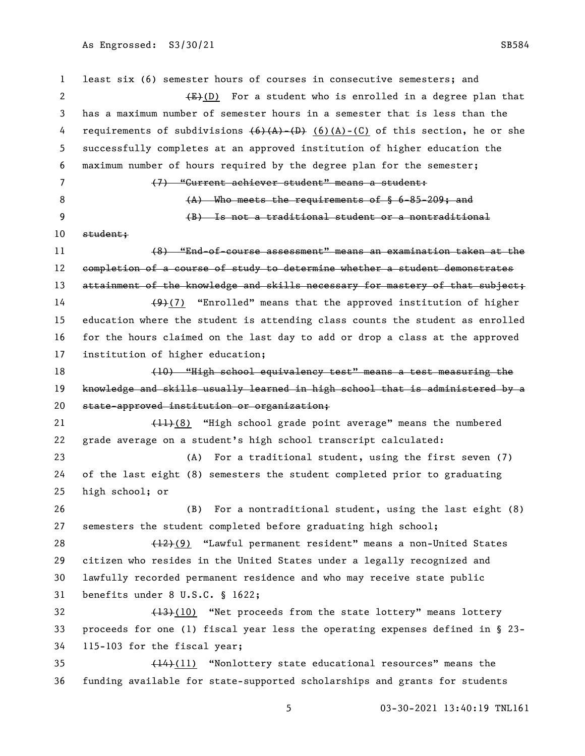least six (6) semester hours of courses in consecutive semesters; and 2 (E)(D) For a student who is enrolled in a degree plan that has a maximum number of semester hours in a semester that is less than the 4 requirements of subdivisions  $\left(6\right)$   $\left($ A)- $\left($ D $\right)$   $\left($   $\left($ A)- $\left($ C $\right)$  of this section, he or she successfully completes at an approved institution of higher education the maximum number of hours required by the degree plan for the semester; (7) "Current achiever student" means a student: 8 (A) Who meets the requirements of § 6-85-209; and (B) Is not a traditional student or a nontraditional student; (8) "End-of-course assessment" means an examination taken at the 12 completion of a course of study to determine whether a student demonstrates 13 attainment of the knowledge and skills necessary for mastery of that subject;  $(9)(7)$  "Enrolled" means that the approved institution of higher education where the student is attending class counts the student as enrolled for the hours claimed on the last day to add or drop a class at the approved institution of higher education; (10) "High school equivalency test" means a test measuring the knowledge and skills usually learned in high school that is administered by a state-approved institution or organization; 21 (11)(8) "High school grade point average" means the numbered grade average on a student's high school transcript calculated: (A) For a traditional student, using the first seven (7) of the last eight (8) semesters the student completed prior to graduating high school; or (B) For a nontraditional student, using the last eight (8) semesters the student completed before graduating high school; 28 (12)(9) "Lawful permanent resident" means a non-United States citizen who resides in the United States under a legally recognized and lawfully recorded permanent residence and who may receive state public benefits under 8 U.S.C. § 1622; 32 (13)(10) "Net proceeds from the state lottery" means lottery proceeds for one (1) fiscal year less the operating expenses defined in § 23- 115-103 for the fiscal year; (14)(11) "Nonlottery state educational resources" means the funding available for state-supported scholarships and grants for students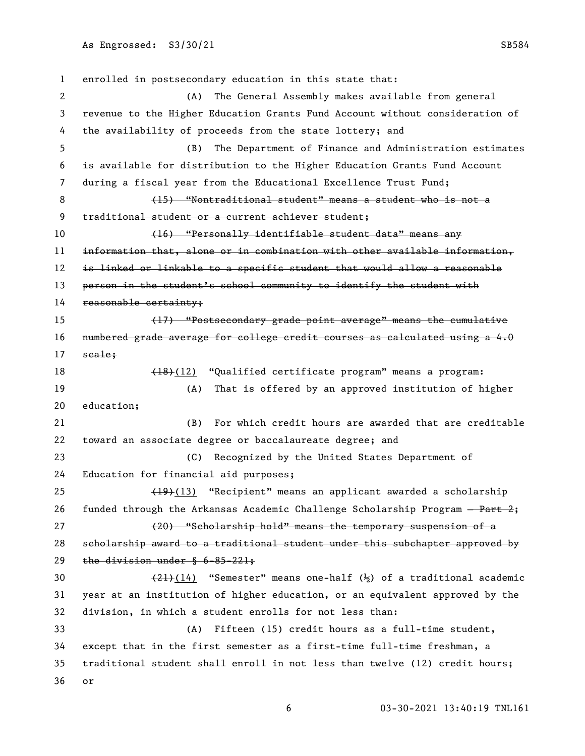enrolled in postsecondary education in this state that: (A) The General Assembly makes available from general revenue to the Higher Education Grants Fund Account without consideration of the availability of proceeds from the state lottery; and (B) The Department of Finance and Administration estimates is available for distribution to the Higher Education Grants Fund Account during a fiscal year from the Educational Excellence Trust Fund; (15) "Nontraditional student" means a student who is not a traditional student or a current achiever student; (16) "Personally identifiable student data" means any information that, alone or in combination with other available information, is linked or linkable to a specific student that would allow a reasonable 13 person in the student's school community to identify the student with 14 reasonable certainty; (17) "Postsecondary grade point average" means the cumulative numbered grade average for college credit courses as calculated using a 4.0 17 seale; 18 (18)(12) "Qualified certificate program" means a program: (A) That is offered by an approved institution of higher education; (B) For which credit hours are awarded that are creditable toward an associate degree or baccalaureate degree; and (C) Recognized by the United States Department of Education for financial aid purposes; 25 (19)(13) "Recipient" means an applicant awarded a scholarship 26 funded through the Arkansas Academic Challenge Scholarship Program  $-\frac{\text{Part-2}}{2}$ ; (20) "Scholarship hold" means the temporary suspension of a scholarship award to a traditional student under this subchapter approved by the division under § 6-85-221;  $(21)(14)$  "Semester" means one-half  $(\frac{1}{2})$  of a traditional academic year at an institution of higher education, or an equivalent approved by the division, in which a student enrolls for not less than: (A) Fifteen (15) credit hours as a full-time student, except that in the first semester as a first-time full-time freshman, a traditional student shall enroll in not less than twelve (12) credit hours; or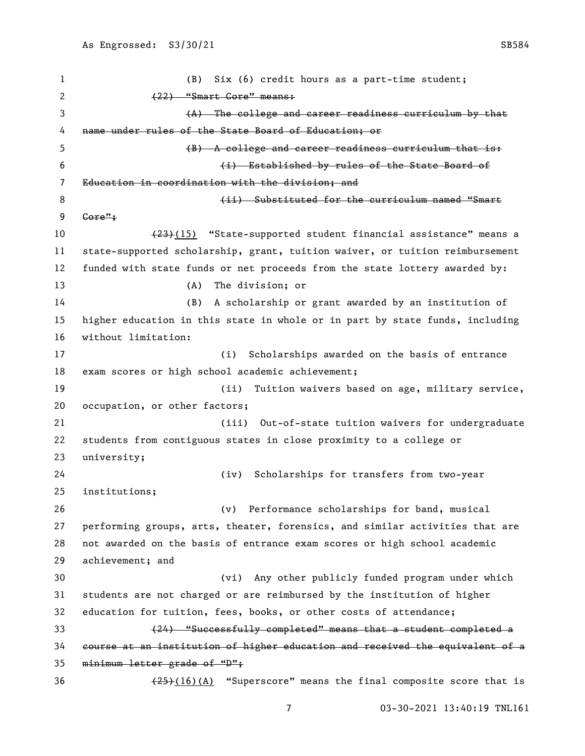(B) Six (6) credit hours as a part-time student; (22) "Smart Core" means: (A) The college and career readiness curriculum by that name under rules of the State Board of Education; or 5 (B) A college and career readiness curriculum that is: (i) Established by rules of the State Board of Education in coordination with the division; and 8 (ii) Substituted for the curriculum named "Smart Core"; 10 (23)(15) "State-supported student financial assistance" means a state-supported scholarship, grant, tuition waiver, or tuition reimbursement funded with state funds or net proceeds from the state lottery awarded by: (A) The division; or (B) A scholarship or grant awarded by an institution of higher education in this state in whole or in part by state funds, including without limitation: (i) Scholarships awarded on the basis of entrance exam scores or high school academic achievement; (ii) Tuition waivers based on age, military service, occupation, or other factors; (iii) Out-of-state tuition waivers for undergraduate students from contiguous states in close proximity to a college or university; (iv) Scholarships for transfers from two-year institutions; (v) Performance scholarships for band, musical performing groups, arts, theater, forensics, and similar activities that are not awarded on the basis of entrance exam scores or high school academic achievement; and (vi) Any other publicly funded program under which students are not charged or are reimbursed by the institution of higher education for tuition, fees, books, or other costs of attendance; (24) "Successfully completed" means that a student completed a course at an institution of higher education and received the equivalent of a minimum letter grade of "D";  $\left(\frac{25}{16}\right)$  (A) "Superscore" means the final composite score that is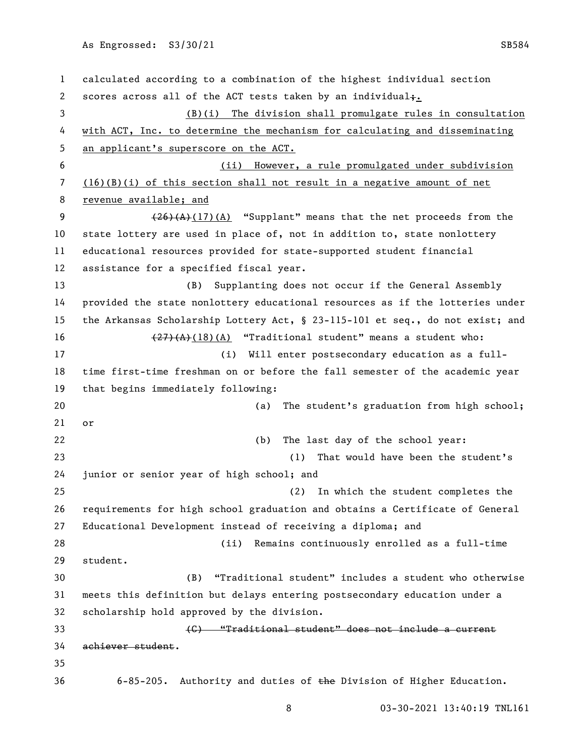calculated according to a combination of the highest individual section 2 scores across all of the ACT tests taken by an individual $\ddagger$ . (B)(i) The division shall promulgate rules in consultation with ACT, Inc. to determine the mechanism for calculating and disseminating an applicant's superscore on the ACT. (ii) However, a rule promulgated under subdivision (16)(B)(i) of this section shall not result in a negative amount of net 8 revenue available; and 9 (26)(A)(17)(A) "Supplant" means that the net proceeds from the state lottery are used in place of, not in addition to, state nonlottery educational resources provided for state-supported student financial assistance for a specified fiscal year. (B) Supplanting does not occur if the General Assembly provided the state nonlottery educational resources as if the lotteries under the Arkansas Scholarship Lottery Act, § 23-115-101 et seq., do not exist; and  $(27)(A)(18)(A)$  "Traditional student" means a student who: (i) Will enter postsecondary education as a full- time first-time freshman on or before the fall semester of the academic year that begins immediately following: (a) The student's graduation from high school; or (b) The last day of the school year: (1) That would have been the student's junior or senior year of high school; and (2) In which the student completes the requirements for high school graduation and obtains a Certificate of General Educational Development instead of receiving a diploma; and (ii) Remains continuously enrolled as a full-time student. (B) "Traditional student" includes a student who otherwise meets this definition but delays entering postsecondary education under a scholarship hold approved by the division. (C) "Traditional student" does not include a current achiever student. 6-85-205. Authority and duties of the Division of Higher Education.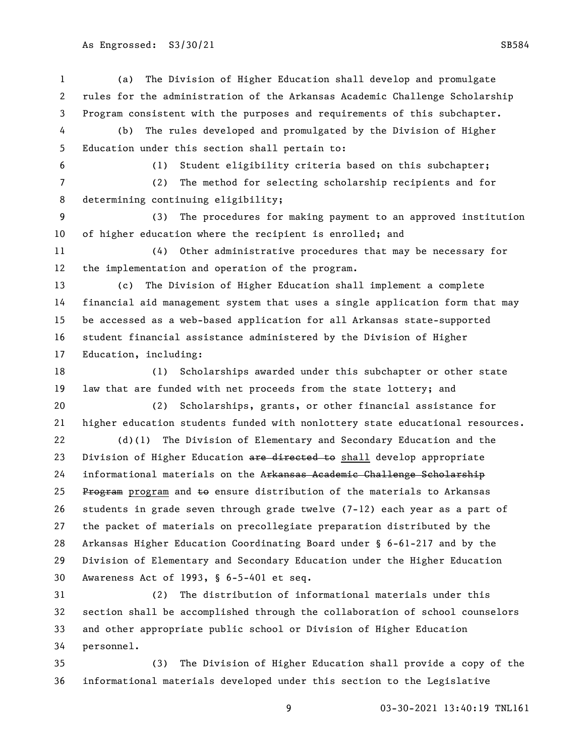(a) The Division of Higher Education shall develop and promulgate rules for the administration of the Arkansas Academic Challenge Scholarship Program consistent with the purposes and requirements of this subchapter. (b) The rules developed and promulgated by the Division of Higher Education under this section shall pertain to: (1) Student eligibility criteria based on this subchapter; (2) The method for selecting scholarship recipients and for determining continuing eligibility; (3) The procedures for making payment to an approved institution of higher education where the recipient is enrolled; and (4) Other administrative procedures that may be necessary for the implementation and operation of the program. (c) The Division of Higher Education shall implement a complete financial aid management system that uses a single application form that may be accessed as a web-based application for all Arkansas state-supported student financial assistance administered by the Division of Higher Education, including: (1) Scholarships awarded under this subchapter or other state law that are funded with net proceeds from the state lottery; and (2) Scholarships, grants, or other financial assistance for higher education students funded with nonlottery state educational resources. (d)(1) The Division of Elementary and Secondary Education and the 23 Division of Higher Education are directed to shall develop appropriate 24 informational materials on the Arkansas Academic Challenge Scholarship 25 Program program and  $\pm$ o ensure distribution of the materials to Arkansas students in grade seven through grade twelve (7-12) each year as a part of the packet of materials on precollegiate preparation distributed by the Arkansas Higher Education Coordinating Board under § 6-61-217 and by the Division of Elementary and Secondary Education under the Higher Education Awareness Act of 1993, § 6-5-401 et seq.

 (2) The distribution of informational materials under this section shall be accomplished through the collaboration of school counselors and other appropriate public school or Division of Higher Education personnel.

 (3) The Division of Higher Education shall provide a copy of the informational materials developed under this section to the Legislative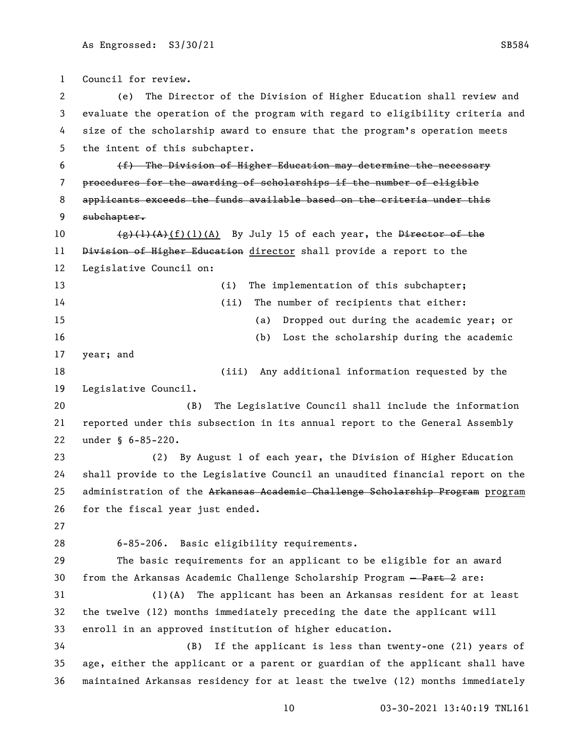Council for review. (e) The Director of the Division of Higher Education shall review and evaluate the operation of the program with regard to eligibility criteria and size of the scholarship award to ensure that the program's operation meets the intent of this subchapter. (f) The Division of Higher Education may determine the necessary procedures for the awarding of scholarships if the number of eligible 8 applicants exceeds the funds available based on the criteria under this subchapter.  $\left(\frac{e}{f}\right)\left(1\right)\left(1\right)\left(1\right)$  (A) By July 15 of each year, the <del>Director of the</del> 11 Division of Higher Education director shall provide a report to the Legislative Council on: 13 (i) The implementation of this subchapter; (ii) The number of recipients that either: (a) Dropped out during the academic year; or (b) Lost the scholarship during the academic year; and (iii) Any additional information requested by the Legislative Council. (B) The Legislative Council shall include the information reported under this subsection in its annual report to the General Assembly under § 6-85-220. (2) By August 1 of each year, the Division of Higher Education shall provide to the Legislative Council an unaudited financial report on the 25 administration of the Arkansas Academic Challenge Scholarship Program program for the fiscal year just ended. 6-85-206. Basic eligibility requirements. The basic requirements for an applicant to be eligible for an award 30 from the Arkansas Academic Challenge Scholarship Program - Part 2 are: (1)(A) The applicant has been an Arkansas resident for at least the twelve (12) months immediately preceding the date the applicant will enroll in an approved institution of higher education. (B) If the applicant is less than twenty-one (21) years of age, either the applicant or a parent or guardian of the applicant shall have maintained Arkansas residency for at least the twelve (12) months immediately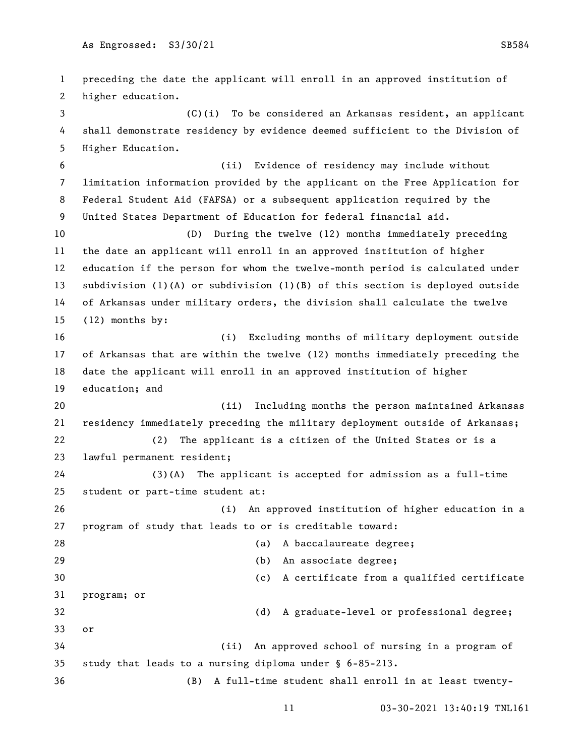preceding the date the applicant will enroll in an approved institution of higher education. (C)(i) To be considered an Arkansas resident, an applicant shall demonstrate residency by evidence deemed sufficient to the Division of Higher Education. (ii) Evidence of residency may include without limitation information provided by the applicant on the Free Application for Federal Student Aid (FAFSA) or a subsequent application required by the United States Department of Education for federal financial aid. (D) During the twelve (12) months immediately preceding the date an applicant will enroll in an approved institution of higher education if the person for whom the twelve-month period is calculated under subdivision (1)(A) or subdivision (1)(B) of this section is deployed outside of Arkansas under military orders, the division shall calculate the twelve (12) months by: (i) Excluding months of military deployment outside of Arkansas that are within the twelve (12) months immediately preceding the date the applicant will enroll in an approved institution of higher education; and (ii) Including months the person maintained Arkansas residency immediately preceding the military deployment outside of Arkansas; (2) The applicant is a citizen of the United States or is a lawful permanent resident; (3)(A) The applicant is accepted for admission as a full-time student or part-time student at: (i) An approved institution of higher education in a program of study that leads to or is creditable toward: 28 (a) A baccalaureate degree; (b) An associate degree; (c) A certificate from a qualified certificate program; or (d) A graduate-level or professional degree; or (ii) An approved school of nursing in a program of study that leads to a nursing diploma under § 6-85-213. (B) A full-time student shall enroll in at least twenty-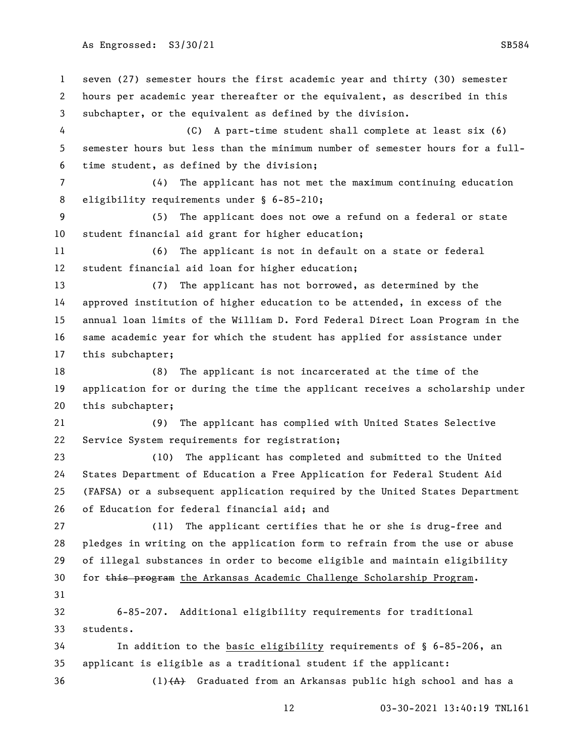seven (27) semester hours the first academic year and thirty (30) semester hours per academic year thereafter or the equivalent, as described in this subchapter, or the equivalent as defined by the division. (C) A part-time student shall complete at least six (6) semester hours but less than the minimum number of semester hours for a full- time student, as defined by the division; (4) The applicant has not met the maximum continuing education 8 eligibility requirements under § 6-85-210; (5) The applicant does not owe a refund on a federal or state student financial aid grant for higher education; (6) The applicant is not in default on a state or federal student financial aid loan for higher education; (7) The applicant has not borrowed, as determined by the approved institution of higher education to be attended, in excess of the annual loan limits of the William D. Ford Federal Direct Loan Program in the same academic year for which the student has applied for assistance under this subchapter; (8) The applicant is not incarcerated at the time of the application for or during the time the applicant receives a scholarship under this subchapter; (9) The applicant has complied with United States Selective Service System requirements for registration; (10) The applicant has completed and submitted to the United States Department of Education a Free Application for Federal Student Aid (FAFSA) or a subsequent application required by the United States Department of Education for federal financial aid; and (11) The applicant certifies that he or she is drug-free and pledges in writing on the application form to refrain from the use or abuse of illegal substances in order to become eligible and maintain eligibility 30 for this program the Arkansas Academic Challenge Scholarship Program. 6-85-207. Additional eligibility requirements for traditional students. In addition to the basic eligibility requirements of § 6-85-206, an applicant is eligible as a traditional student if the applicant: 36 (1) $(A)$  Graduated from an Arkansas public high school and has a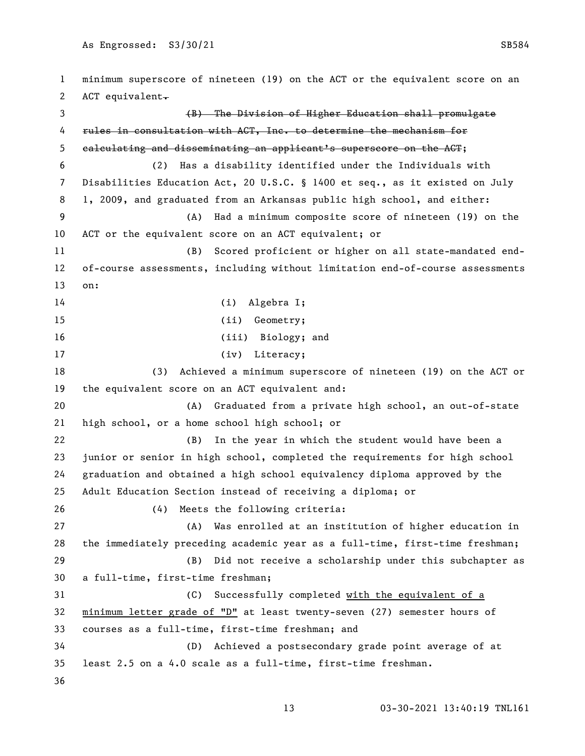minimum superscore of nineteen (19) on the ACT or the equivalent score on an 2 ACT equivalent. 3 (B) The Division of Higher Education shall promulgate rules in consultation with ACT, Inc. to determine the mechanism for calculating and disseminating an applicant's superscore on the ACT; (2) Has a disability identified under the Individuals with Disabilities Education Act, 20 U.S.C. § 1400 et seq., as it existed on July 1, 2009, and graduated from an Arkansas public high school, and either: (A) Had a minimum composite score of nineteen (19) on the ACT or the equivalent score on an ACT equivalent; or (B) Scored proficient or higher on all state-mandated end- of-course assessments, including without limitation end-of-course assessments on: 14 (i) Algebra I; 15 (ii) Geometry; (iii) Biology; and 17 (iv) Literacy; (3) Achieved a minimum superscore of nineteen (19) on the ACT or the equivalent score on an ACT equivalent and: (A) Graduated from a private high school, an out-of-state high school, or a home school high school; or (B) In the year in which the student would have been a junior or senior in high school, completed the requirements for high school graduation and obtained a high school equivalency diploma approved by the Adult Education Section instead of receiving a diploma; or (4) Meets the following criteria: (A) Was enrolled at an institution of higher education in the immediately preceding academic year as a full-time, first-time freshman; (B) Did not receive a scholarship under this subchapter as a full-time, first-time freshman; (C) Successfully completed with the equivalent of a minimum letter grade of "D" at least twenty-seven (27) semester hours of courses as a full-time, first-time freshman; and (D) Achieved a postsecondary grade point average of at least 2.5 on a 4.0 scale as a full-time, first-time freshman.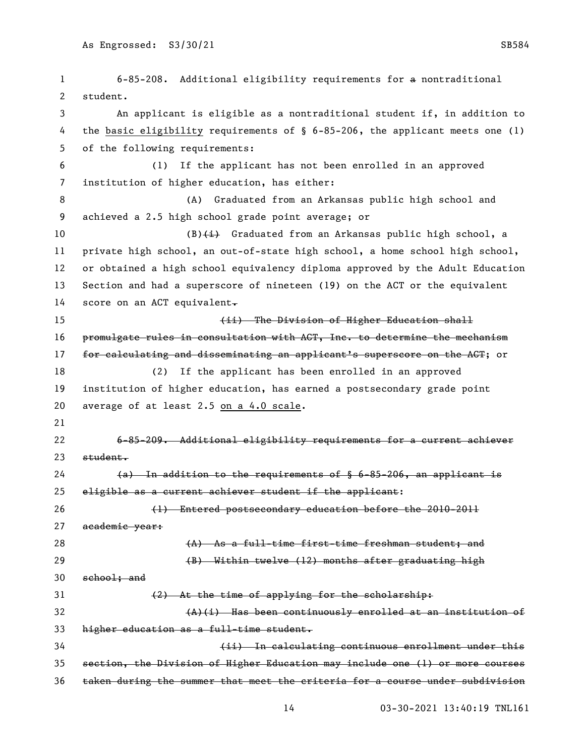6-85-208. Additional eligibility requirements for a nontraditional student. An applicant is eligible as a nontraditional student if, in addition to the basic eligibility requirements of § 6-85-206, the applicant meets one (1) of the following requirements: (1) If the applicant has not been enrolled in an approved institution of higher education, has either: (A) Graduated from an Arkansas public high school and achieved a 2.5 high school grade point average; or 10 (B) $\leftrightarrow$  Graduated from an Arkansas public high school, a private high school, an out-of-state high school, a home school high school, or obtained a high school equivalency diploma approved by the Adult Education Section and had a superscore of nineteen (19) on the ACT or the equivalent 14 score on an ACT equivalent. (ii) The Division of Higher Education shall promulgate rules in consultation with ACT, Inc. to determine the mechanism 17 for calculating and disseminating an applicant's superscore on the AGT; or (2) If the applicant has been enrolled in an approved institution of higher education, has earned a postsecondary grade point average of at least 2.5 on a 4.0 scale. 6-85-209. Additional eligibility requirements for a current achiever student.  $(a)$  In addition to the requirements of  $\frac{6}{5}$  6-85-206, an applicant is eligible as a current achiever student if the applicant: (1) Entered postsecondary education before the 2010-2011 27 academic year: 28 (A) As a full-time first-time freshman student; and 29 (B) Within twelve (12) months after graduating high school; and (2) At the time of applying for the scholarship: (A)(i) Has been continuously enrolled at an institution of higher education as a full-time student. (ii) In calculating continuous enrollment under this section, the Division of Higher Education may include one (1) or more courses taken during the summer that meet the criteria for a course under subdivision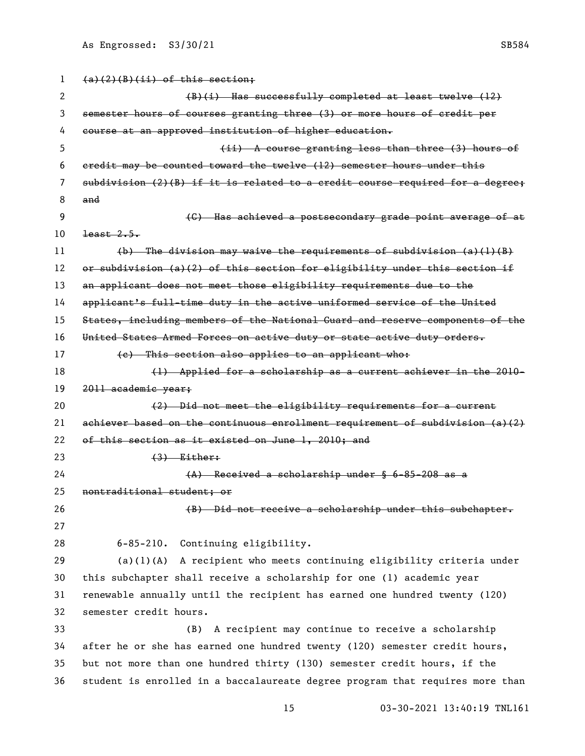| 1  | $(a)(2)(B)(ii)$ of this section;                                                |
|----|---------------------------------------------------------------------------------|
| 2  | (B)(i) Has successfully completed at least twelve (12)                          |
| 3  | semester hours of courses granting three (3) or more hours of credit per        |
| 4  | course at an approved institution of higher education.                          |
| 5. | (ii) A course granting less than three (3) hours of                             |
| 6  | eredit may be counted toward the twelve (12) semester hours under this          |
| 7  | $subdivision (2)(B)$ if it is related to a credit course required for a degree; |
| 8  | and                                                                             |
| 9  | (G) Has achieved a postsecondary grade point average of at                      |
| 10 | $\frac{1}{2}$                                                                   |
| 11 | $(b)$ The division may waive the requirements of subdivision $(a)(1)(B)$        |
| 12 | or subdivision (a)(2) of this section for eligibility under this section if     |
| 13 | an applicant does not meet those eligibility requirements due to the            |
| 14 | applicant's full-time duty in the active uniformed service of the United        |
| 15 | States, including members of the National Guard and reserve components of the   |
| 16 | United States Armed Forces on active duty or state active duty orders.          |
| 17 | (e) This section also applies to an applicant who:                              |
| 18 | (1) Applied for a scholarship as a current achiever in the 2010-                |
| 19 | 2011 academic year;                                                             |
| 20 | (2) Did not meet the eligibility requirements for a current                     |
| 21 | achiever based on the continuous enrollment requirement of subdivision (a)(2)   |
| 22 | of this section as it existed on June 1, 2010; and                              |
| 23 | $(3)$ Either:                                                                   |
| 24 | $(A)$ Received a scholarship under $§$ 6-85-208 as a                            |
| 25 | nontraditional student; or                                                      |
| 26 | (B) Did not receive a scholarship under this subchapter.                        |
| 27 |                                                                                 |
| 28 | Continuing eligibility.<br>$6 - 85 - 210$ .                                     |
| 29 | $(a)(1)(A)$ A recipient who meets continuing eligibility criteria under         |
| 30 | this subchapter shall receive a scholarship for one (1) academic year           |
| 31 | renewable annually until the recipient has earned one hundred twenty (120)      |
| 32 | semester credit hours.                                                          |
| 33 | A recipient may continue to receive a scholarship<br>(B)                        |
| 34 | after he or she has earned one hundred twenty (120) semester credit hours,      |
| 35 | but not more than one hundred thirty (130) semester credit hours, if the        |
| 36 | student is enrolled in a baccalaureate degree program that requires more than   |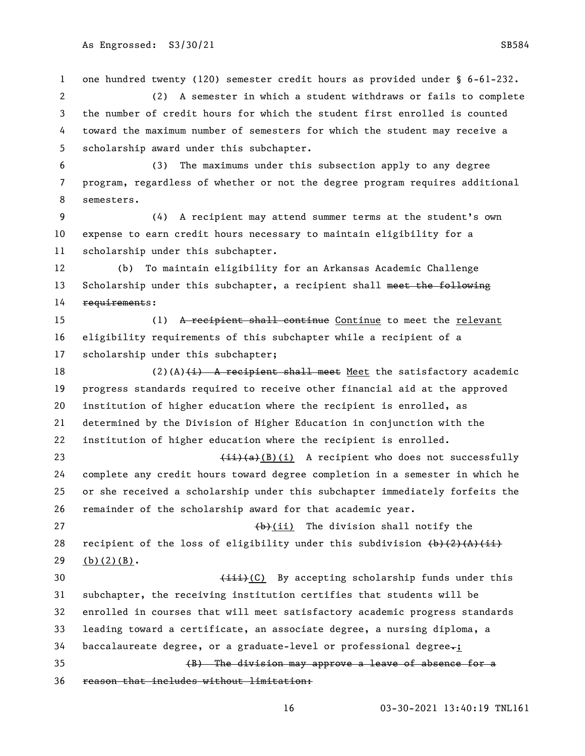one hundred twenty (120) semester credit hours as provided under § 6-61-232. (2) A semester in which a student withdraws or fails to complete the number of credit hours for which the student first enrolled is counted toward the maximum number of semesters for which the student may receive a scholarship award under this subchapter. (3) The maximums under this subsection apply to any degree program, regardless of whether or not the degree program requires additional semesters.

 (4) A recipient may attend summer terms at the student's own expense to earn credit hours necessary to maintain eligibility for a scholarship under this subchapter.

 (b) To maintain eligibility for an Arkansas Academic Challenge 13 Scholarship under this subchapter, a recipient shall meet the following 14 requirements:

15 (1) A recipient shall continue Continue to meet the relevant eligibility requirements of this subchapter while a recipient of a scholarship under this subchapter;

18 (2)(A) $\left(\frac{1}{2}\right)$  A recipient shall meet Meet the satisfactory academic progress standards required to receive other financial aid at the approved institution of higher education where the recipient is enrolled, as determined by the Division of Higher Education in conjunction with the institution of higher education where the recipient is enrolled.

 $\leftarrow$   $\leftarrow$   $\leftarrow$   $\left(\frac{1}{2}\right)\left(\frac{1}{2}\right)$  A recipient who does not successfully complete any credit hours toward degree completion in a semester in which he or she received a scholarship under this subchapter immediately forfeits the remainder of the scholarship award for that academic year.

27 (b)(ii) The division shall notify the 28 recipient of the loss of eligibility under this subdivision  $\left(\frac{b}{2}\right)\left(\frac{A}{A}\right)\left(\frac{A}{A}\right)$ 29 (b)(2)(B).

**(iii)(C)** By accepting scholarship funds under this subchapter, the receiving institution certifies that students will be enrolled in courses that will meet satisfactory academic progress standards leading toward a certificate, an associate degree, a nursing diploma, a baccalaureate degree, or a graduate-level or professional degree.; (B) The division may approve a leave of absence for a reason that includes without limitation: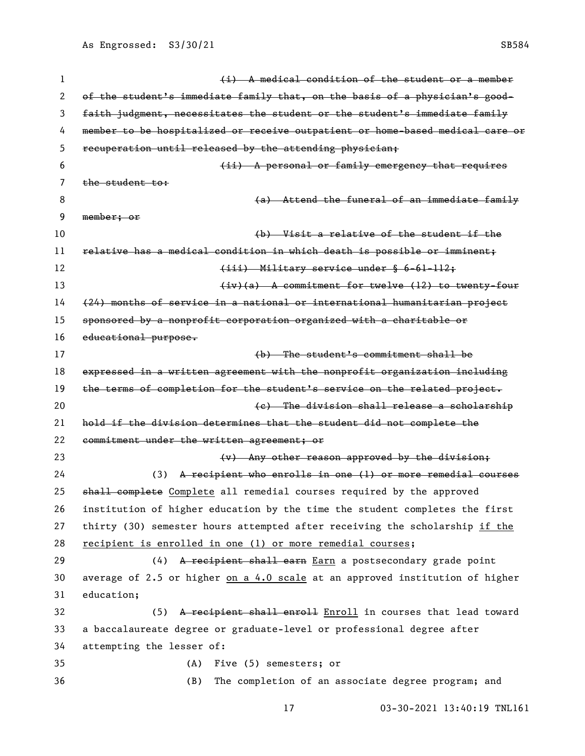1 1 a medical condition of the student or a member of the student's immediate family that, on the basis of a physician's good- faith judgment, necessitates the student or the student's immediate family member to be hospitalized or receive outpatient or home-based medical care or recuperation until released by the attending physician; (ii) A personal or family emergency that requires 7 the student to: (a) Attend the funeral of an immediate family member; or (b) Visit a relative of the student if the relative has a medical condition in which death is possible or imminent; 12 (iii) Military service under § 6-61-112; 13 (iv)(a) A commitment for twelve (12) to twenty-four (24) months of service in a national or international humanitarian project sponsored by a nonprofit corporation organized with a charitable or educational purpose. (b) The student's commitment shall be expressed in a written agreement with the nonprofit organization including 19 the terms of completion for the student's service on the related project. (c) The division shall release a scholarship hold if the division determines that the student did not complete the commitment under the written agreement; or **(v)** Any other reason approved by the division; (3) A recipient who enrolls in one (1) or more remedial courses 25 shall complete Complete all remedial courses required by the approved institution of higher education by the time the student completes the first thirty (30) semester hours attempted after receiving the scholarship if the recipient is enrolled in one (1) or more remedial courses; 29 (4) A recipient shall earn Earn a postsecondary grade point 30 average of 2.5 or higher on a 4.0 scale at an approved institution of higher education; 32 (5) A recipient shall enroll Enroll in courses that lead toward a baccalaureate degree or graduate-level or professional degree after attempting the lesser of: (A) Five (5) semesters; or (B) The completion of an associate degree program; and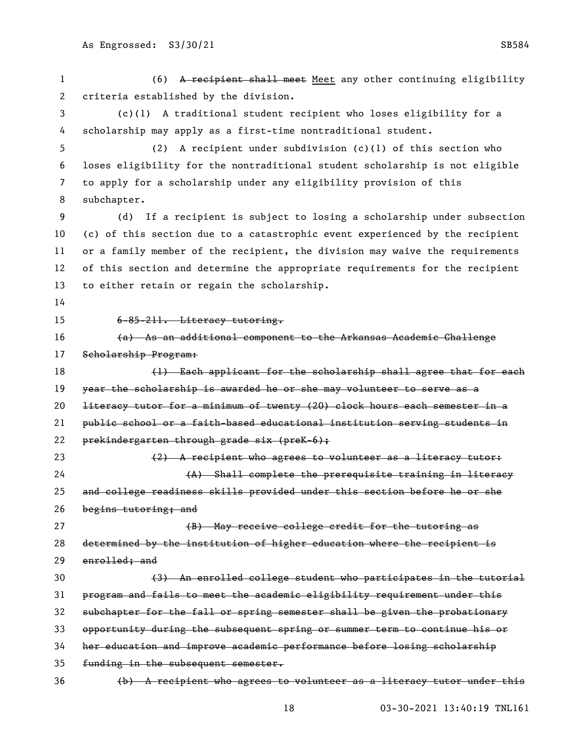(6) A recipient shall meet Meet any other continuing eligibility criteria established by the division. (c)(1) A traditional student recipient who loses eligibility for a scholarship may apply as a first-time nontraditional student. (2) A recipient under subdivision (c)(1) of this section who

 loses eligibility for the nontraditional student scholarship is not eligible to apply for a scholarship under any eligibility provision of this subchapter.

 (d) If a recipient is subject to losing a scholarship under subsection (c) of this section due to a catastrophic event experienced by the recipient or a family member of the recipient, the division may waive the requirements of this section and determine the appropriate requirements for the recipient to either retain or regain the scholarship.

6-85-211. Literacy tutoring.

 (a) As an additional component to the Arkansas Academic Challenge Scholarship Program:

18 (1) Each applicant for the scholarship shall agree that for each 19 year the scholarship is awarded he or she may volunteer to serve as a literacy tutor for a minimum of twenty (20) clock hours each semester in a public school or a faith-based educational institution serving students in prekindergarten through grade six (preK-6); 23 (2) A recipient who agrees to volunteer as a literacy tutor: (A) Shall complete the prerequisite training in literacy and college readiness skills provided under this section before he or she begins tutoring; and

27 (B) May receive college credit for the tutoring as determined by the institution of higher education where the recipient is enrolled; and

 (3) An enrolled college student who participates in the tutorial program and fails to meet the academic eligibility requirement under this subchapter for the fall or spring semester shall be given the probationary opportunity during the subsequent spring or summer term to continue his or her education and improve academic performance before losing scholarship funding in the subsequent semester. (b) A recipient who agrees to volunteer as a literacy tutor under this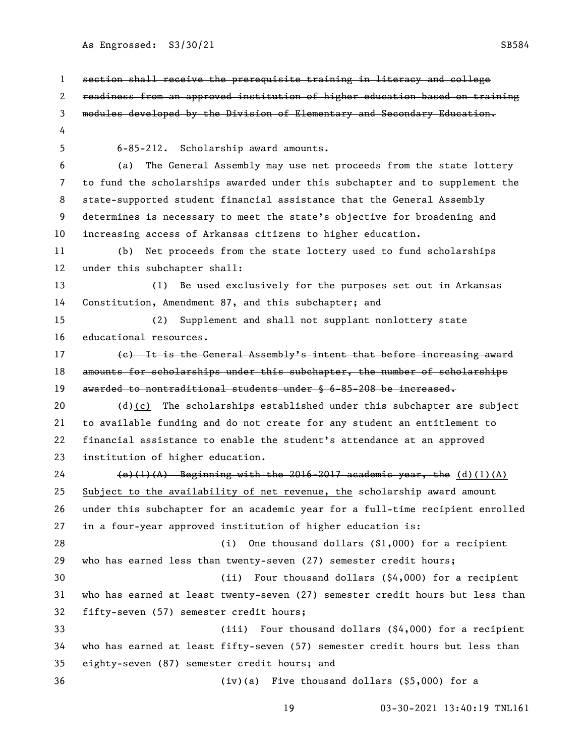section shall receive the prerequisite training in literacy and college readiness from an approved institution of higher education based on training modules developed by the Division of Elementary and Secondary Education. 6-85-212. Scholarship award amounts. (a) The General Assembly may use net proceeds from the state lottery to fund the scholarships awarded under this subchapter and to supplement the state-supported student financial assistance that the General Assembly determines is necessary to meet the state's objective for broadening and increasing access of Arkansas citizens to higher education. (b) Net proceeds from the state lottery used to fund scholarships under this subchapter shall: (1) Be used exclusively for the purposes set out in Arkansas Constitution, Amendment 87, and this subchapter; and (2) Supplement and shall not supplant nonlottery state educational resources. 17 (e) It is the General Assembly's intent that before increasing award amounts for scholarships under this subchapter, the number of scholarships awarded to nontraditional students under § 6-85-208 be increased.  $(d)(c)$  The scholarships established under this subchapter are subject to available funding and do not create for any student an entitlement to financial assistance to enable the student's attendance at an approved institution of higher education. 24 (e)(1)(A) Beginning with the 2016-2017 academic year, the  $(d)(1)(A)$  Subject to the availability of net revenue, the scholarship award amount under this subchapter for an academic year for a full-time recipient enrolled in a four-year approved institution of higher education is: (i) One thousand dollars (\$1,000) for a recipient who has earned less than twenty-seven (27) semester credit hours; (ii) Four thousand dollars (\$4,000) for a recipient who has earned at least twenty-seven (27) semester credit hours but less than fifty-seven (57) semester credit hours; (iii) Four thousand dollars (\$4,000) for a recipient who has earned at least fifty-seven (57) semester credit hours but less than eighty-seven (87) semester credit hours; and (iv)(a) Five thousand dollars (\$5,000) for a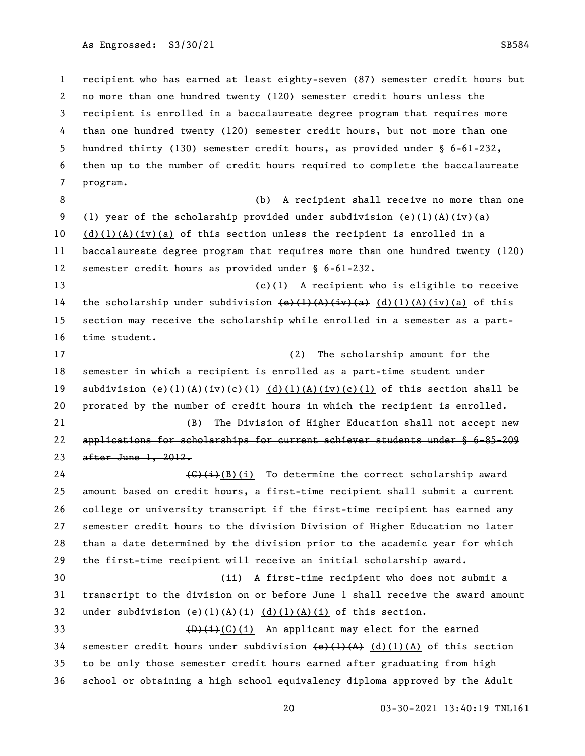recipient who has earned at least eighty-seven (87) semester credit hours but no more than one hundred twenty (120) semester credit hours unless the recipient is enrolled in a baccalaureate degree program that requires more than one hundred twenty (120) semester credit hours, but not more than one hundred thirty (130) semester credit hours, as provided under § 6-61-232, then up to the number of credit hours required to complete the baccalaureate program.

 (b) A recipient shall receive no more than one 9 (1) year of the scholarship provided under subdivision  $\left(\frac{e}{1}\right)\left(\frac{1}{A}\right)\left(\frac{1}{Y}\right)\left(a\right)$ 10 (d)(1)(A)(iv)(a) of this section unless the recipient is enrolled in a baccalaureate degree program that requires more than one hundred twenty (120) semester credit hours as provided under § 6-61-232.

 (c)(1) A recipient who is eligible to receive 14 the scholarship under subdivision  $\left(\frac{e}{1}, \frac{1}{A}, \frac{1}{v}, \frac{1}{a}\right)$  (d)(1)(A)(iv)(a) of this section may receive the scholarship while enrolled in a semester as a part-time student.

 (2) The scholarship amount for the semester in which a recipient is enrolled as a part-time student under 19 subdivision  $(e)$ (1)(A)(iv)(c)(1)(A)(iv)(c)(1) of this section shall be prorated by the number of credit hours in which the recipient is enrolled. (B) The Division of Higher Education shall not accept new

 applications for scholarships for current achiever students under § 6-85-209 after June 1, 2012.

 $\left(\frac{C}{i}\right)(i)$  To determine the correct scholarship award amount based on credit hours, a first-time recipient shall submit a current college or university transcript if the first-time recipient has earned any 27 semester credit hours to the division Division of Higher Education no later than a date determined by the division prior to the academic year for which the first-time recipient will receive an initial scholarship award.

 (ii) A first-time recipient who does not submit a transcript to the division on or before June 1 shall receive the award amount 32 under subdivision  $\left(\frac{e}{1}\right)\left(\frac{A}{A}\right)\left(\frac{1}{A}\right)$  (d)(1)(A)(i) of this section.

 $\left(\frac{D}{L}(C)(i)\right)$  An applicant may elect for the earned 34 semester credit hours under subdivision  $\left(\frac{e}{(1)}\left(\frac{A}{A}\right)(1)(A)\right)$  of this section to be only those semester credit hours earned after graduating from high school or obtaining a high school equivalency diploma approved by the Adult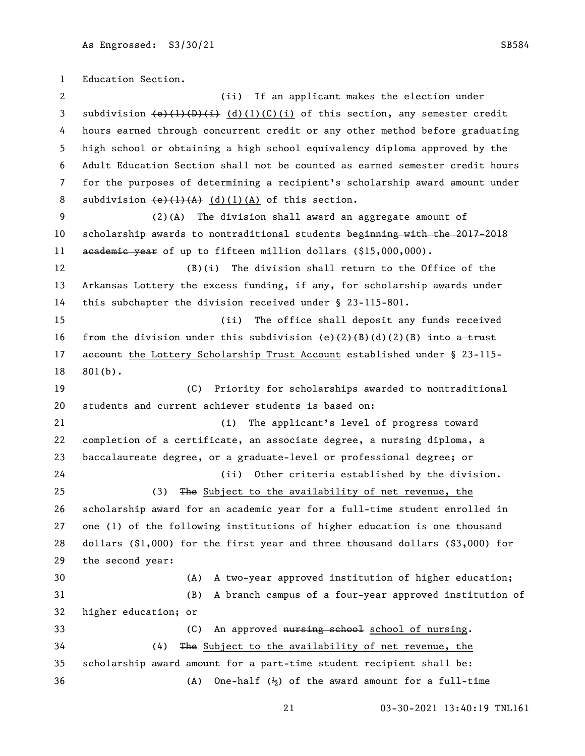Education Section. (ii) If an applicant makes the election under 3 subdivision  $\left(\frac{e}{(p+1)(p+1)}\right)$  (d)(1)(C)(i) of this section, any semester credit hours earned through concurrent credit or any other method before graduating high school or obtaining a high school equivalency diploma approved by the Adult Education Section shall not be counted as earned semester credit hours for the purposes of determining a recipient's scholarship award amount under 8 subdivision  $\left(\frac{e}{1}(1)(A)$   $\frac{d}{1}(d)(1)(A)$  of this section. (2)(A) The division shall award an aggregate amount of scholarship awards to nontraditional students beginning with the 2017-2018 11 academic year of up to fifteen million dollars (\$15,000,000). (B)(i) The division shall return to the Office of the Arkansas Lottery the excess funding, if any, for scholarship awards under this subchapter the division received under § 23-115-801. (ii) The office shall deposit any funds received 16 from the division under this subdivision  $\left(\frac{e}{2}\right)\left(\frac{B}{B}\right)(d)(2)(B)$  into a trust 17 account the Lottery Scholarship Trust Account established under § 23-115- 801(b). (C) Priority for scholarships awarded to nontraditional 20 students and current achiever students is based on: (i) The applicant's level of progress toward completion of a certificate, an associate degree, a nursing diploma, a baccalaureate degree, or a graduate-level or professional degree; or (ii) Other criteria established by the division. (3) The Subject to the availability of net revenue, the scholarship award for an academic year for a full-time student enrolled in one (1) of the following institutions of higher education is one thousand dollars (\$1,000) for the first year and three thousand dollars (\$3,000) for the second year: (A) A two-year approved institution of higher education; (B) A branch campus of a four-year approved institution of higher education; or 33 (C) An approved nursing school of nursing. (4) The Subject to the availability of net revenue, the scholarship award amount for a part-time student recipient shall be: (A) One-half (½) of the award amount for a full-time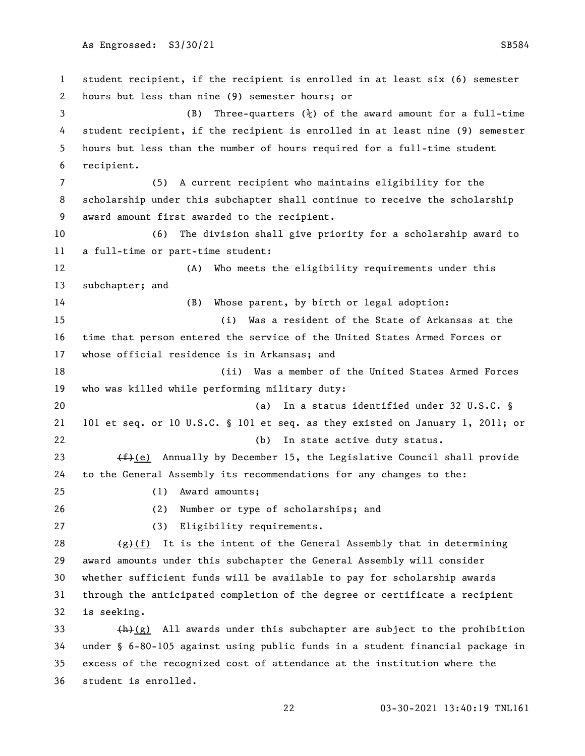student recipient, if the recipient is enrolled in at least six (6) semester hours but less than nine (9) semester hours; or (B) Three-quarters (¾) of the award amount for a full-time student recipient, if the recipient is enrolled in at least nine (9) semester hours but less than the number of hours required for a full-time student recipient. (5) A current recipient who maintains eligibility for the scholarship under this subchapter shall continue to receive the scholarship award amount first awarded to the recipient. (6) The division shall give priority for a scholarship award to a full-time or part-time student: (A) Who meets the eligibility requirements under this subchapter; and (B) Whose parent, by birth or legal adoption: (i) Was a resident of the State of Arkansas at the time that person entered the service of the United States Armed Forces or whose official residence is in Arkansas; and (ii) Was a member of the United States Armed Forces who was killed while performing military duty: (a) In a status identified under 32 U.S.C. § 101 et seq. or 10 U.S.C. § 101 et seq. as they existed on January 1, 2011; or (b) In state active duty status.  $(f)$  (e) Annually by December 15, the Legislative Council shall provide to the General Assembly its recommendations for any changes to the: (1) Award amounts; (2) Number or type of scholarships; and (3) Eligibility requirements.  $\left(\frac{1}{2}\right)$  It is the intent of the General Assembly that in determining award amounts under this subchapter the General Assembly will consider whether sufficient funds will be available to pay for scholarship awards through the anticipated completion of the degree or certificate a recipient is seeking.  $+h$ (g) All awards under this subchapter are subject to the prohibition under § 6-80-105 against using public funds in a student financial package in excess of the recognized cost of attendance at the institution where the

student is enrolled.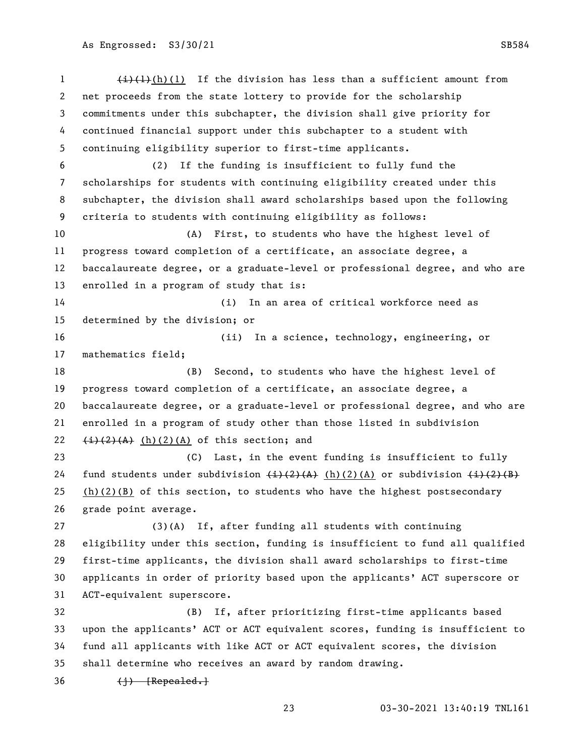$\left(\frac{1}{1}\right)\left(\frac{1}{1}\right)$  (1) If the division has less than a sufficient amount from net proceeds from the state lottery to provide for the scholarship commitments under this subchapter, the division shall give priority for continued financial support under this subchapter to a student with continuing eligibility superior to first-time applicants. (2) If the funding is insufficient to fully fund the scholarships for students with continuing eligibility created under this subchapter, the division shall award scholarships based upon the following criteria to students with continuing eligibility as follows: (A) First, to students who have the highest level of progress toward completion of a certificate, an associate degree, a baccalaureate degree, or a graduate-level or professional degree, and who are enrolled in a program of study that is: (i) In an area of critical workforce need as determined by the division; or (ii) In a science, technology, engineering, or mathematics field; (B) Second, to students who have the highest level of progress toward completion of a certificate, an associate degree, a baccalaureate degree, or a graduate-level or professional degree, and who are enrolled in a program of study other than those listed in subdivision  $(i)(2)(A)$  (h)(2)(A) of this section; and (C) Last, in the event funding is insufficient to fully 24 fund students under subdivision  $\left(\frac{1}{2}\right)\left(\frac{2}{A}\right)$  (h)(2)(A) or subdivision  $\left(\frac{1}{2}\right)\left(\frac{2}{B}\right)$ 25 (h)(2)(B) of this section, to students who have the highest postsecondary grade point average. (3)(A) If, after funding all students with continuing eligibility under this section, funding is insufficient to fund all qualified first-time applicants, the division shall award scholarships to first-time applicants in order of priority based upon the applicants' ACT superscore or ACT-equivalent superscore. (B) If, after prioritizing first-time applicants based upon the applicants' ACT or ACT equivalent scores, funding is insufficient to fund all applicants with like ACT or ACT equivalent scores, the division shall determine who receives an award by random drawing.  $36 \left(1\right)$  [Repealed.]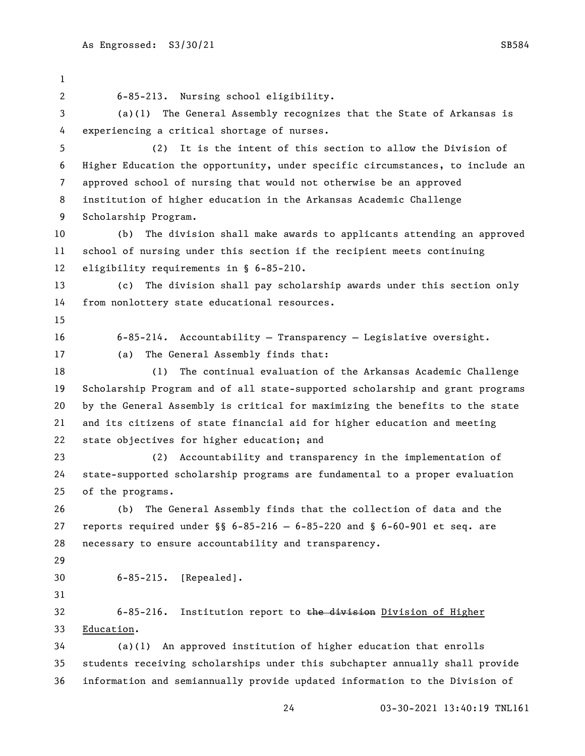6-85-213. Nursing school eligibility. (a)(1) The General Assembly recognizes that the State of Arkansas is experiencing a critical shortage of nurses. (2) It is the intent of this section to allow the Division of Higher Education the opportunity, under specific circumstances, to include an approved school of nursing that would not otherwise be an approved institution of higher education in the Arkansas Academic Challenge Scholarship Program. (b) The division shall make awards to applicants attending an approved school of nursing under this section if the recipient meets continuing eligibility requirements in § 6-85-210. (c) The division shall pay scholarship awards under this section only from nonlottery state educational resources. 6-85-214. Accountability — Transparency — Legislative oversight. (a) The General Assembly finds that: (1) The continual evaluation of the Arkansas Academic Challenge Scholarship Program and of all state-supported scholarship and grant programs by the General Assembly is critical for maximizing the benefits to the state and its citizens of state financial aid for higher education and meeting state objectives for higher education; and (2) Accountability and transparency in the implementation of state-supported scholarship programs are fundamental to a proper evaluation of the programs. (b) The General Assembly finds that the collection of data and the reports required under §§ 6-85-216 — 6-85-220 and § 6-60-901 et seq. are necessary to ensure accountability and transparency. 6-85-215. [Repealed]. 32 6-85-216. Institution report to the division Division of Higher Education. (a)(1) An approved institution of higher education that enrolls students receiving scholarships under this subchapter annually shall provide information and semiannually provide updated information to the Division of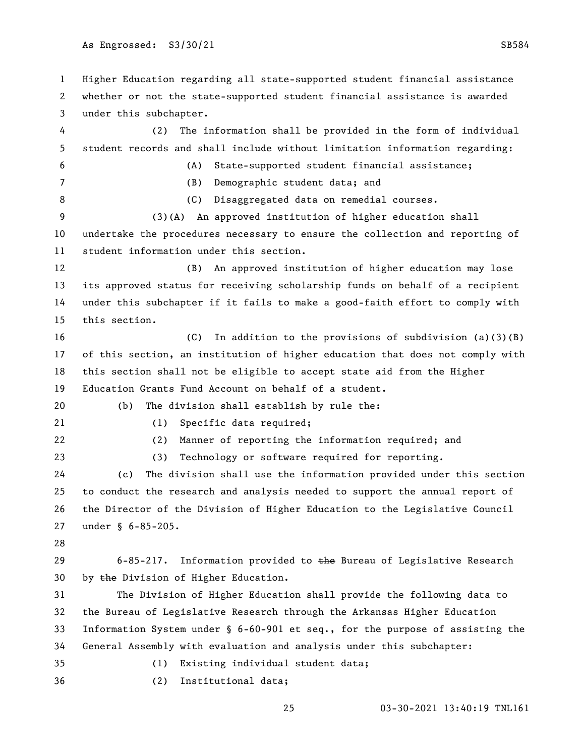Higher Education regarding all state-supported student financial assistance whether or not the state-supported student financial assistance is awarded under this subchapter. (2) The information shall be provided in the form of individual student records and shall include without limitation information regarding: (A) State-supported student financial assistance; (B) Demographic student data; and 8 (C) Disaggregated data on remedial courses. (3)(A) An approved institution of higher education shall undertake the procedures necessary to ensure the collection and reporting of student information under this section. (B) An approved institution of higher education may lose its approved status for receiving scholarship funds on behalf of a recipient under this subchapter if it fails to make a good-faith effort to comply with this section. (C) In addition to the provisions of subdivision (a)(3)(B) of this section, an institution of higher education that does not comply with this section shall not be eligible to accept state aid from the Higher Education Grants Fund Account on behalf of a student. (b) The division shall establish by rule the: (1) Specific data required; (2) Manner of reporting the information required; and (3) Technology or software required for reporting. (c) The division shall use the information provided under this section to conduct the research and analysis needed to support the annual report of the Director of the Division of Higher Education to the Legislative Council under § 6-85-205. 29 6-85-217. Information provided to the Bureau of Legislative Research 30 by the Division of Higher Education. The Division of Higher Education shall provide the following data to the Bureau of Legislative Research through the Arkansas Higher Education Information System under § 6-60-901 et seq., for the purpose of assisting the General Assembly with evaluation and analysis under this subchapter: (1) Existing individual student data; (2) Institutional data;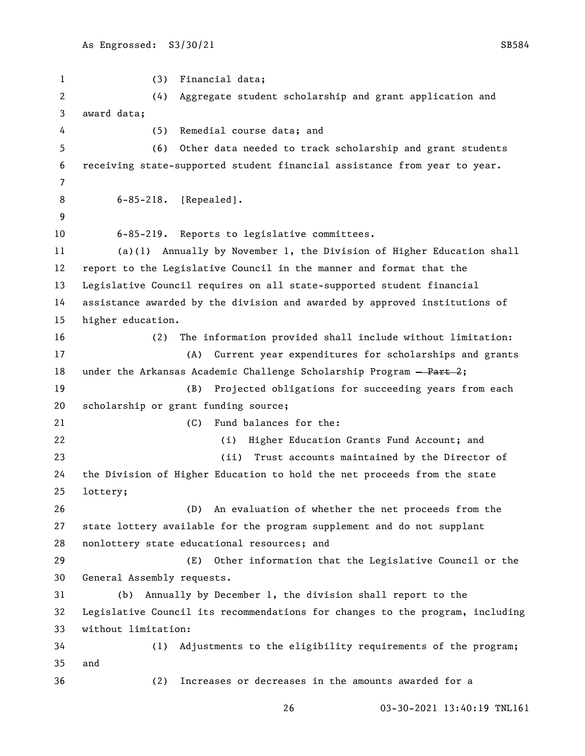(3) Financial data; (4) Aggregate student scholarship and grant application and award data; (5) Remedial course data; and (6) Other data needed to track scholarship and grant students receiving state-supported student financial assistance from year to year. 6-85-218. [Repealed]. 6-85-219. Reports to legislative committees. (a)(1) Annually by November 1, the Division of Higher Education shall report to the Legislative Council in the manner and format that the Legislative Council requires on all state-supported student financial assistance awarded by the division and awarded by approved institutions of higher education. (2) The information provided shall include without limitation: (A) Current year expenditures for scholarships and grants 18 under the Arkansas Academic Challenge Scholarship Program  $-$  Part 2; (B) Projected obligations for succeeding years from each scholarship or grant funding source; (C) Fund balances for the: (i) Higher Education Grants Fund Account; and (ii) Trust accounts maintained by the Director of the Division of Higher Education to hold the net proceeds from the state lottery; (D) An evaluation of whether the net proceeds from the state lottery available for the program supplement and do not supplant nonlottery state educational resources; and (E) Other information that the Legislative Council or the General Assembly requests. (b) Annually by December 1, the division shall report to the Legislative Council its recommendations for changes to the program, including without limitation: (1) Adjustments to the eligibility requirements of the program; and (2) Increases or decreases in the amounts awarded for a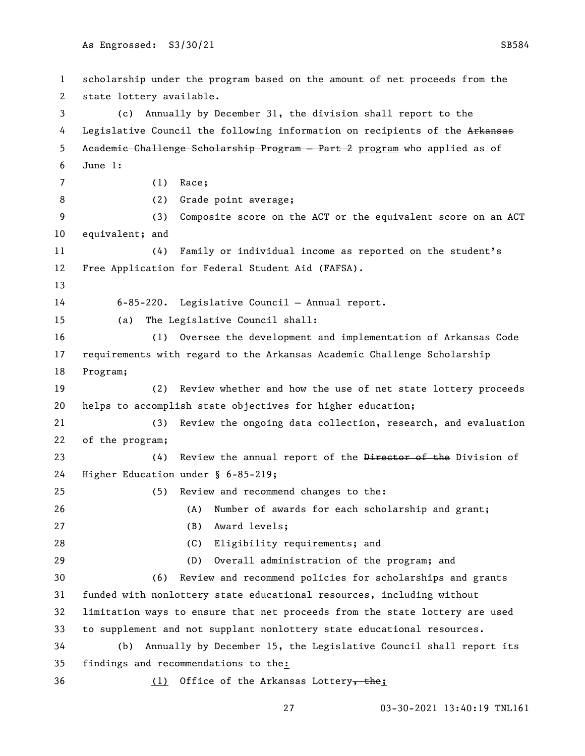scholarship under the program based on the amount of net proceeds from the state lottery available. (c) Annually by December 31, the division shall report to the 4 Legislative Council the following information on recipients of the Arkansas Academic Challenge Scholarship Program — Part 2 program who applied as of June 1: (1) Race; (2) Grade point average; (3) Composite score on the ACT or the equivalent score on an ACT equivalent; and (4) Family or individual income as reported on the student's Free Application for Federal Student Aid (FAFSA). 6-85-220. Legislative Council — Annual report. (a) The Legislative Council shall: (1) Oversee the development and implementation of Arkansas Code requirements with regard to the Arkansas Academic Challenge Scholarship Program; (2) Review whether and how the use of net state lottery proceeds helps to accomplish state objectives for higher education; (3) Review the ongoing data collection, research, and evaluation of the program; 23 (4) Review the annual report of the Director of the Division of Higher Education under § 6-85-219; (5) Review and recommend changes to the: (A) Number of awards for each scholarship and grant; (B) Award levels; (C) Eligibility requirements; and (D) Overall administration of the program; and (6) Review and recommend policies for scholarships and grants funded with nonlottery state educational resources, including without limitation ways to ensure that net proceeds from the state lottery are used to supplement and not supplant nonlottery state educational resources. (b) Annually by December 15, the Legislative Council shall report its findings and recommendations to the: 36 (1) Office of the Arkansas Lottery, the;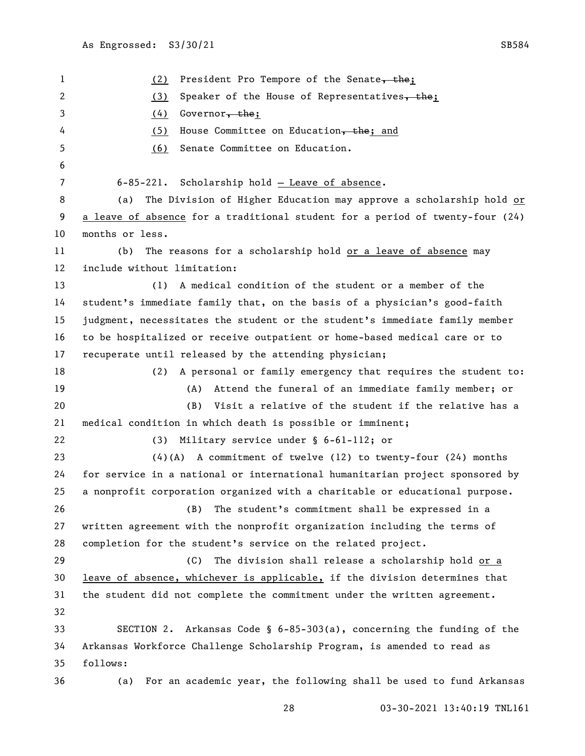1 (2) President Pro Tempore of the Senate, the; 2 (3) Speaker of the House of Representatives, the; 3 (4) Governor, the; 4 (5) House Committee on Education, the; and (6) Senate Committee on Education. 6-85-221. Scholarship hold — Leave of absence. (a) The Division of Higher Education may approve a scholarship hold or a leave of absence for a traditional student for a period of twenty-four (24) months or less. (b) The reasons for a scholarship hold or a leave of absence may include without limitation: (1) A medical condition of the student or a member of the student's immediate family that, on the basis of a physician's good-faith judgment, necessitates the student or the student's immediate family member to be hospitalized or receive outpatient or home-based medical care or to recuperate until released by the attending physician; (2) A personal or family emergency that requires the student to: (A) Attend the funeral of an immediate family member; or (B) Visit a relative of the student if the relative has a medical condition in which death is possible or imminent; (3) Military service under § 6-61-112; or (4)(A) A commitment of twelve (12) to twenty-four (24) months for service in a national or international humanitarian project sponsored by a nonprofit corporation organized with a charitable or educational purpose. (B) The student's commitment shall be expressed in a written agreement with the nonprofit organization including the terms of completion for the student's service on the related project. (C) The division shall release a scholarship hold or a leave of absence, whichever is applicable, if the division determines that the student did not complete the commitment under the written agreement. SECTION 2. Arkansas Code § 6-85-303(a), concerning the funding of the Arkansas Workforce Challenge Scholarship Program, is amended to read as follows: (a) For an academic year, the following shall be used to fund Arkansas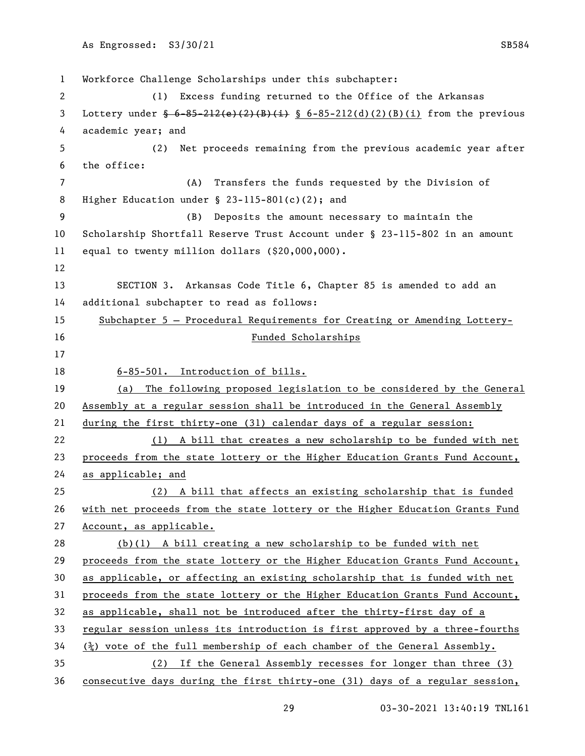Workforce Challenge Scholarships under this subchapter: (1) Excess funding returned to the Office of the Arkansas 3 Lottery under  $\frac{6-85-212(e)(2)(B)(i)}{8-6-85-212(d)(2)(B)(i)}$  from the previous academic year; and (2) Net proceeds remaining from the previous academic year after the office: (A) Transfers the funds requested by the Division of Higher Education under § 23-115-801(c)(2); and (B) Deposits the amount necessary to maintain the Scholarship Shortfall Reserve Trust Account under § 23-115-802 in an amount equal to twenty million dollars (\$20,000,000). SECTION 3. Arkansas Code Title 6, Chapter 85 is amended to add an additional subchapter to read as follows: Subchapter 5 — Procedural Requirements for Creating or Amending Lottery- Funded Scholarships 6-85-501. Introduction of bills. (a) The following proposed legislation to be considered by the General Assembly at a regular session shall be introduced in the General Assembly during the first thirty-one (31) calendar days of a regular session: (1) A bill that creates a new scholarship to be funded with net proceeds from the state lottery or the Higher Education Grants Fund Account, as applicable; and (2) A bill that affects an existing scholarship that is funded 26 with net proceeds from the state lottery or the Higher Education Grants Fund Account, as applicable. (b)(1) A bill creating a new scholarship to be funded with net proceeds from the state lottery or the Higher Education Grants Fund Account, as applicable, or affecting an existing scholarship that is funded with net proceeds from the state lottery or the Higher Education Grants Fund Account, as applicable, shall not be introduced after the thirty-first day of a regular session unless its introduction is first approved by a three-fourths ( $\frac{3}{2}$ ) vote of the full membership of each chamber of the General Assembly. (2) If the General Assembly recesses for longer than three (3) consecutive days during the first thirty-one (31) days of a regular session,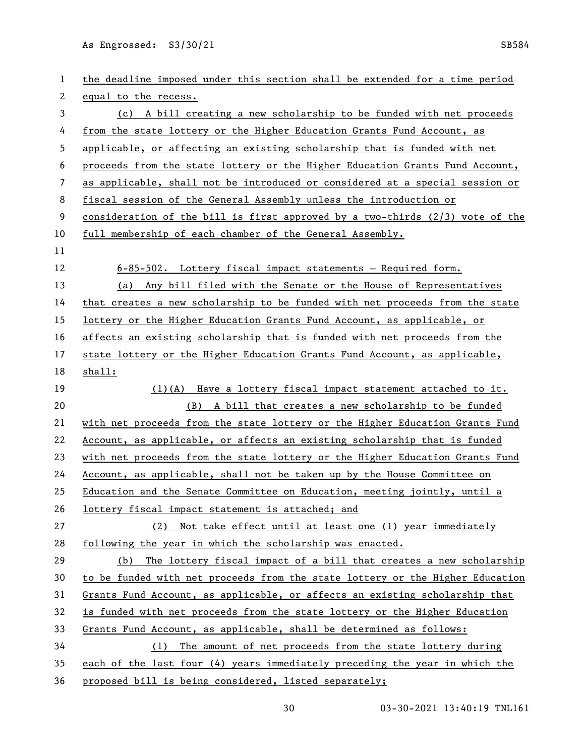| 1  | the deadline imposed under this section shall be extended for a time period   |
|----|-------------------------------------------------------------------------------|
| 2  | equal to the recess.                                                          |
| 3  | (c) A bill creating a new scholarship to be funded with net proceeds          |
| 4  | from the state lottery or the Higher Education Grants Fund Account, as        |
| 5  | applicable, or affecting an existing scholarship that is funded with net      |
| 6  | proceeds from the state lottery or the Higher Education Grants Fund Account,  |
| 7  | as applicable, shall not be introduced or considered at a special session or  |
| 8  | fiscal session of the General Assembly unless the introduction or             |
| 9  | consideration of the bill is first approved by a two-thirds (2/3) vote of the |
| 10 | full membership of each chamber of the General Assembly.                      |
| 11 |                                                                               |
| 12 | $6-85-502$ . Lottery fiscal impact statements - Required form.                |
| 13 | (a) Any bill filed with the Senate or the House of Representatives            |
| 14 | that creates a new scholarship to be funded with net proceeds from the state  |
| 15 | lottery or the Higher Education Grants Fund Account, as applicable, or        |
| 16 | affects an existing scholarship that is funded with net proceeds from the     |
| 17 | state lottery or the Higher Education Grants Fund Account, as applicable,     |
| 18 | shall:                                                                        |
| 19 | $(1)(A)$ Have a lottery fiscal impact statement attached to it.               |
| 20 | (B) A bill that creates a new scholarship to be funded                        |
| 21 | with net proceeds from the state lottery or the Higher Education Grants Fund  |
| 22 | Account, as applicable, or affects an existing scholarship that is funded     |
| 23 | with net proceeds from the state lottery or the Higher Education Grants Fund  |
| 24 | Account, as applicable, shall not be taken up by the House Committee on       |
| 25 | Education and the Senate Committee on Education, meeting jointly, until a     |
| 26 | lottery fiscal impact statement is attached; and                              |
| 27 | (2) Not take effect until at least one (1) year immediately                   |
| 28 | following the year in which the scholarship was enacted.                      |
| 29 | The lottery fiscal impact of a bill that creates a new scholarship<br>(b)     |
| 30 | to be funded with net proceeds from the state lottery or the Higher Education |
| 31 | Grants Fund Account, as applicable, or affects an existing scholarship that   |
| 32 | is funded with net proceeds from the state lottery or the Higher Education    |
| 33 | Grants Fund Account, as applicable, shall be determined as follows:           |
| 34 | (1) The amount of net proceeds from the state lottery during                  |
| 35 |                                                                               |
|    | each of the last four (4) years immediately preceding the year in which the   |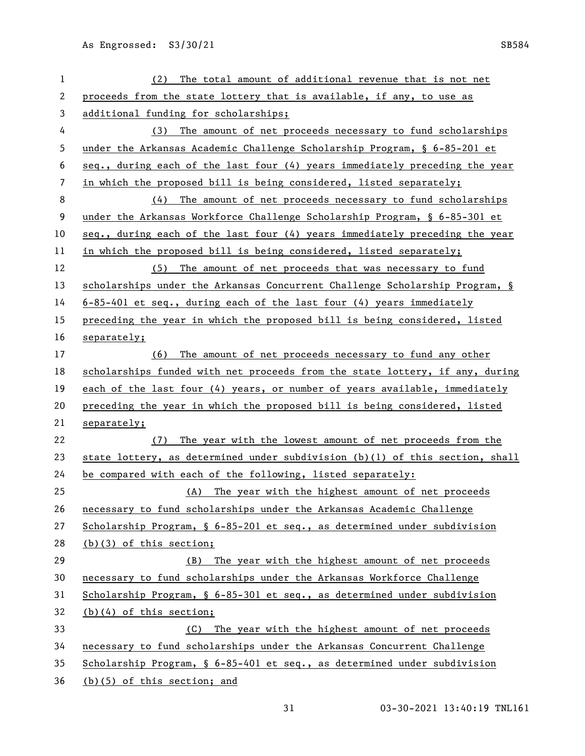| 1  | The total amount of additional revenue that is not net<br>(2)                  |
|----|--------------------------------------------------------------------------------|
| 2  | proceeds from the state lottery that is available, if any, to use as           |
| 3  | additional funding for scholarships;                                           |
| 4  | (3) The amount of net proceeds necessary to fund scholarships                  |
| 5  | under the Arkansas Academic Challenge Scholarship Program, § 6-85-201 et       |
| 6  | seq., during each of the last four (4) years immediately preceding the year    |
| 7  | in which the proposed bill is being considered, listed separately;             |
| 8  | (4) The amount of net proceeds necessary to fund scholarships                  |
| 9  | under the Arkansas Workforce Challenge Scholarship Program, § 6-85-301 et      |
| 10 | seq., during each of the last four (4) years immediately preceding the year    |
| 11 | in which the proposed bill is being considered, listed separately;             |
| 12 | (5) The amount of net proceeds that was necessary to fund                      |
| 13 | scholarships under the Arkansas Concurrent Challenge Scholarship Program, §    |
| 14 | $6-85-401$ et seq., during each of the last four (4) years immediately         |
| 15 | preceding the year in which the proposed bill is being considered, listed      |
| 16 | separately;                                                                    |
| 17 | (6) The amount of net proceeds necessary to fund any other                     |
| 18 | scholarships funded with net proceeds from the state lottery, if any, during   |
| 19 | each of the last four (4) years, or number of years available, immediately     |
| 20 | preceding the year in which the proposed bill is being considered, listed      |
| 21 | separately;                                                                    |
| 22 | (7) The year with the lowest amount of net proceeds from the                   |
| 23 | state lottery, as determined under subdivision $(b)(1)$ of this section, shall |
| 24 | be compared with each of the following, listed separately:                     |
| 25 | (A) The year with the highest amount of net proceeds                           |
| 26 | necessary to fund scholarships under the Arkansas Academic Challenge           |
| 27 | Scholarship Program, § 6-85-201 et seq., as determined under subdivision       |
| 28 | $(b)(3)$ of this section;                                                      |
| 29 | The year with the highest amount of net proceeds<br>(B)                        |
| 30 | necessary to fund scholarships under the Arkansas Workforce Challenge          |
| 31 | Scholarship Program, § 6-85-301 et seq., as determined under subdivision       |
| 32 | $(b)(4)$ of this section;                                                      |
| 33 | The year with the highest amount of net proceeds<br>(C)                        |
| 34 | necessary to fund scholarships under the Arkansas Concurrent Challenge         |
| 35 | Scholarship Program, § 6-85-401 et seq., as determined under subdivision       |
| 36 | (b)(5) of this section; and                                                    |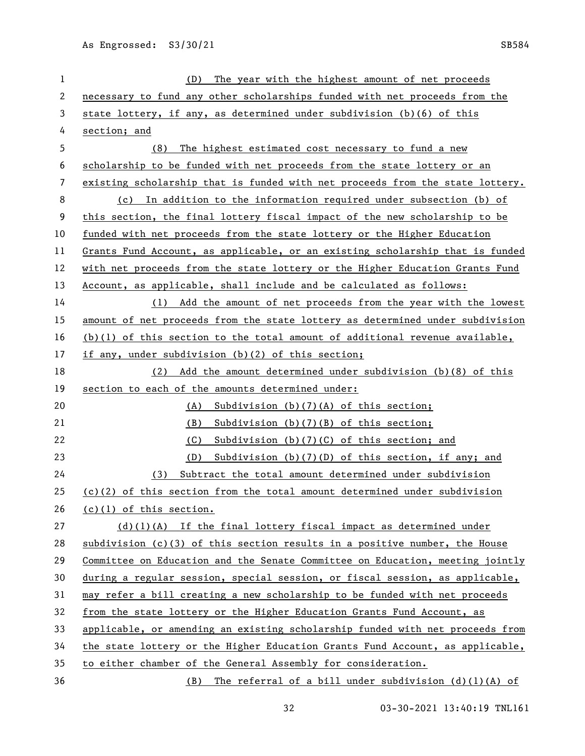| $\mathbf{1}$ | The year with the highest amount of net proceeds<br>(D)                       |
|--------------|-------------------------------------------------------------------------------|
| 2            | necessary to fund any other scholarships funded with net proceeds from the    |
| 3            | state lottery, if any, as determined under subdivision (b)(6) of this         |
| 4            | section; and                                                                  |
| 5            | (8)<br>The highest estimated cost necessary to fund a new                     |
| 6            | scholarship to be funded with net proceeds from the state lottery or an       |
| 7            | existing scholarship that is funded with net proceeds from the state lottery. |
| 8            | (c) In addition to the information required under subsection (b) of           |
| 9            | this section, the final lottery fiscal impact of the new scholarship to be    |
| 10           | funded with net proceeds from the state lottery or the Higher Education       |
| 11           | Grants Fund Account, as applicable, or an existing scholarship that is funded |
| 12           | with net proceeds from the state lottery or the Higher Education Grants Fund  |
| 13           | Account, as applicable, shall include and be calculated as follows:           |
| 14           | (1) Add the amount of net proceeds from the year with the lowest              |
| 15           | amount of net proceeds from the state lottery as determined under subdivision |
| 16           | $(b)(1)$ of this section to the total amount of additional revenue available, |
| 17           | if any, under subdivision (b)(2) of this section;                             |
| 18           | (2) Add the amount determined under subdivision (b)(8) of this                |
| 19           | section to each of the amounts determined under:                              |
| 20           | Subdivision $(b)(7)(A)$ of this section;<br>(A)                               |
| 21           | Subdivision $(b)(7)(B)$ of this section;<br>(B)                               |
| 22           | (C)<br>Subdivision $(b)(7)(C)$ of this section; and                           |
| 23           | Subdivision (b)(7)(D) of this section, if any; and<br>(D)                     |
| 24           | Subtract the total amount determined under subdivision<br>(3)                 |
| 25           | $(c)(2)$ of this section from the total amount determined under subdivision   |
| 26           | $(c)(1)$ of this section.                                                     |
| 27           | $(d)(1)(A)$ If the final lottery fiscal impact as determined under            |
| 28           | subdivision (c)(3) of this section results in a positive number, the House    |
| 29           | Committee on Education and the Senate Committee on Education, meeting jointly |
| 30           | during a regular session, special session, or fiscal session, as applicable,  |
| 31           | may refer a bill creating a new scholarship to be funded with net proceeds    |
| 32           | from the state lottery or the Higher Education Grants Fund Account, as        |
| 33           | applicable, or amending an existing scholarship funded with net proceeds from |
| 34           | the state lottery or the Higher Education Grants Fund Account, as applicable, |
| 35           | to either chamber of the General Assembly for consideration.                  |
| 36           | The referral of a bill under subdivision $(d)(1)(A)$ of<br>(B)                |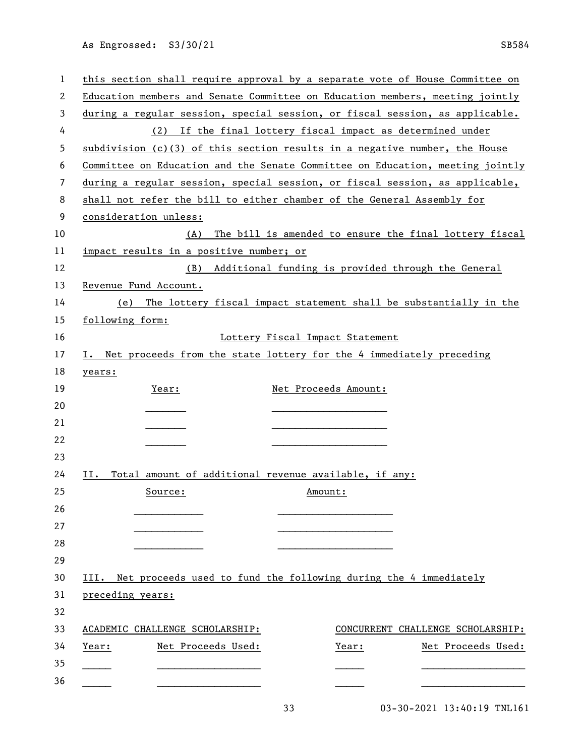| 1  | this section shall require approval by a separate vote of House Committee on  |
|----|-------------------------------------------------------------------------------|
| 2  | Education members and Senate Committee on Education members, meeting jointly  |
| 3  | during a regular session, special session, or fiscal session, as applicable.  |
| 4  | (2) If the final lottery fiscal impact as determined under                    |
| 5  | subdivision (c)(3) of this section results in a negative number, the House    |
| 6  | Committee on Education and the Senate Committee on Education, meeting jointly |
| 7  | during a regular session, special session, or fiscal session, as applicable,  |
| 8  | shall not refer the bill to either chamber of the General Assembly for        |
| 9  | consideration unless:                                                         |
| 10 | The bill is amended to ensure the final lottery fiscal<br>(A)                 |
| 11 | impact results in a positive number; or                                       |
| 12 | (B) Additional funding is provided through the General                        |
| 13 | Revenue Fund Account.                                                         |
| 14 | (e) The lottery fiscal impact statement shall be substantially in the         |
| 15 | following form:                                                               |
| 16 | Lottery Fiscal Impact Statement                                               |
| 17 | I. Net proceeds from the state lottery for the 4 immediately preceding        |
| 18 | years:                                                                        |
| 19 | Year:<br>Net Proceeds Amount:                                                 |
| 20 |                                                                               |
| 21 |                                                                               |
| 22 |                                                                               |
| 23 |                                                                               |
| 24 | Total amount of additional revenue available, if any:<br>II.                  |
| 25 | Source:<br>Amount:                                                            |
| 26 |                                                                               |
| 27 |                                                                               |
| 28 |                                                                               |
| 29 |                                                                               |
| 30 | III. Net proceeds used to fund the following during the 4 immediately         |
| 31 | preceding years:                                                              |
| 32 |                                                                               |
| 33 | ACADEMIC CHALLENGE SCHOLARSHIP:<br>CONCURRENT CHALLENGE SCHOLARSHIP:          |
| 34 | Year:<br>Net Proceeds Used:<br>Year:<br>Net Proceeds Used:                    |
| 35 |                                                                               |
| 36 |                                                                               |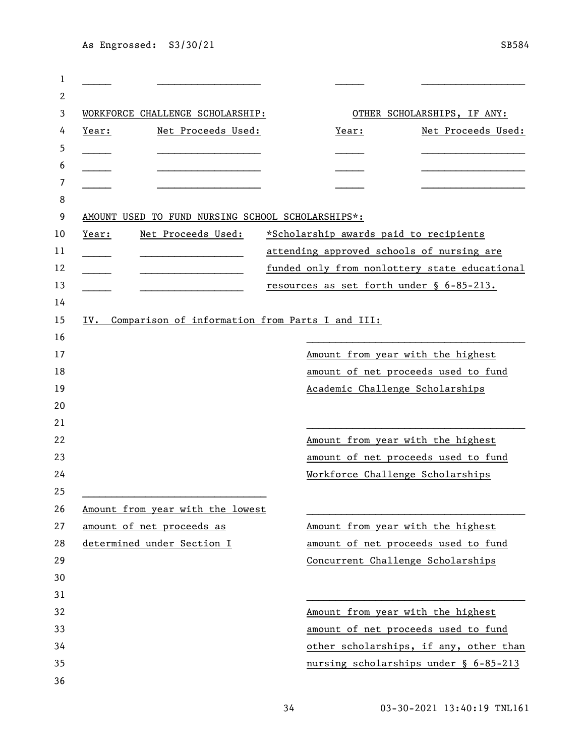| 2     |                                                   |       |                                               |
|-------|---------------------------------------------------|-------|-----------------------------------------------|
|       | WORKFORCE CHALLENGE SCHOLARSHIP:                  |       | OTHER SCHOLARSHIPS, IF ANY:                   |
| Year: | Net Proceeds Used:                                | Year: | Net Proceeds Used:                            |
|       |                                                   |       |                                               |
|       |                                                   |       |                                               |
|       |                                                   |       |                                               |
|       |                                                   |       |                                               |
|       | AMOUNT USED TO FUND NURSING SCHOOL SCHOLARSHIPS*: |       |                                               |
| Year: | Net Proceeds Used:                                |       | *Scholarship awards paid to recipients        |
|       |                                                   |       | attending approved schools of nursing are     |
|       |                                                   |       | funded only from nonlottery state educational |
|       |                                                   |       | resources as set forth under § 6-85-213.      |
|       |                                                   |       |                                               |
| IV.   | Comparison of information from Parts I and III:   |       |                                               |
|       |                                                   |       |                                               |
|       |                                                   |       | Amount from year with the highest             |
|       |                                                   |       | amount of net proceeds used to fund           |
|       |                                                   |       | Academic Challenge Scholarships               |
|       |                                                   |       |                                               |
|       |                                                   |       |                                               |
|       |                                                   |       | Amount from year with the highest             |
|       |                                                   |       | amount of net proceeds used to fund           |
|       |                                                   |       | Workforce Challenge Scholarships              |
|       |                                                   |       |                                               |
|       | Amount from year with the lowest                  |       |                                               |
|       | amount of net proceeds as                         |       | Amount from year with the highest             |
|       | determined under Section I                        |       | amount of net proceeds used to fund           |
|       |                                                   |       | Concurrent Challenge Scholarships             |
|       |                                                   |       |                                               |
|       |                                                   |       |                                               |
|       |                                                   |       | Amount from year with the highest             |
|       |                                                   |       | amount of net proceeds used to fund           |
|       |                                                   |       | other scholarships, if any, other than        |
|       |                                                   |       | nursing scholarships under § 6-85-213         |
|       |                                                   |       |                                               |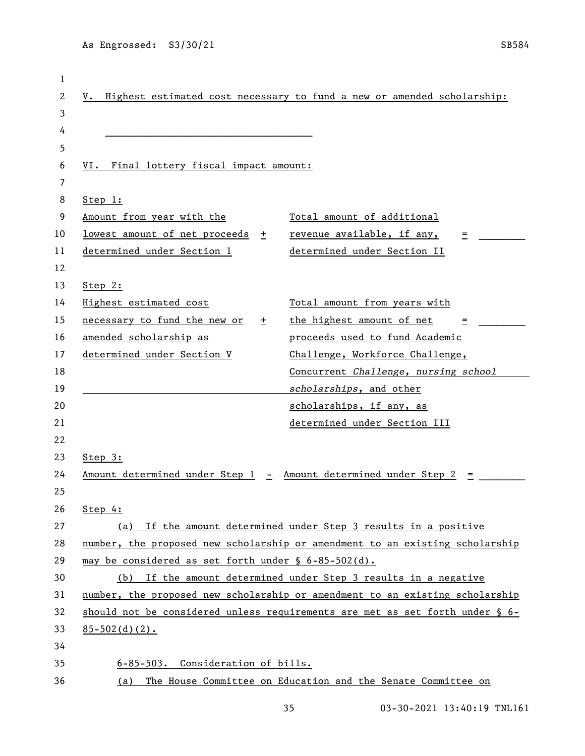|                                                                              | V. Highest estimated cost necessary to fund a new or amended scholarship:    |
|------------------------------------------------------------------------------|------------------------------------------------------------------------------|
|                                                                              |                                                                              |
|                                                                              |                                                                              |
|                                                                              |                                                                              |
| VI. Final lottery fiscal impact amount:                                      |                                                                              |
|                                                                              |                                                                              |
| S <u>top</u> 1:                                                              |                                                                              |
| Amount from year with the                                                    | Total amount of additional                                                   |
| lowest amount of net proceeds +                                              | revenue available, if any,<br>Ξ                                              |
| determined under Section 1                                                   | determined under Section II                                                  |
|                                                                              |                                                                              |
| Step 2:                                                                      |                                                                              |
| Highest estimated cost                                                       | Total amount from years with                                                 |
| necessary to fund the new or<br>$+$                                          | the highest amount of net<br>=                                               |
| amended scholarship as                                                       | proceeds used to fund Academic                                               |
| determined under Section V                                                   | Challenge, Workforce Challenge,                                              |
|                                                                              | Concurrent Challenge, nursing school                                         |
|                                                                              | scholarships, and other                                                      |
|                                                                              | scholarships, if any, as                                                     |
|                                                                              | determined under Section III                                                 |
|                                                                              |                                                                              |
| Step 3:                                                                      |                                                                              |
| Amount determined under Step 1 - Amount determined under Step 2              |                                                                              |
|                                                                              |                                                                              |
| Step 4:                                                                      |                                                                              |
|                                                                              | (a) If the amount determined under Step 3 results in a positive              |
|                                                                              | number, the proposed new scholarship or amendment to an existing scholarship |
| may be considered as set forth under § 6-85-502(d).                          |                                                                              |
|                                                                              | (b) If the amount determined under Step 3 results in a negative              |
| number, the proposed new scholarship or amendment to an existing scholarship |                                                                              |
|                                                                              | should not be considered unless requirements are met as set forth under § 6- |
| $85 - 502$ (d) (2).                                                          |                                                                              |
|                                                                              |                                                                              |
|                                                                              |                                                                              |
| 6-85-503. Consideration of bills.                                            |                                                                              |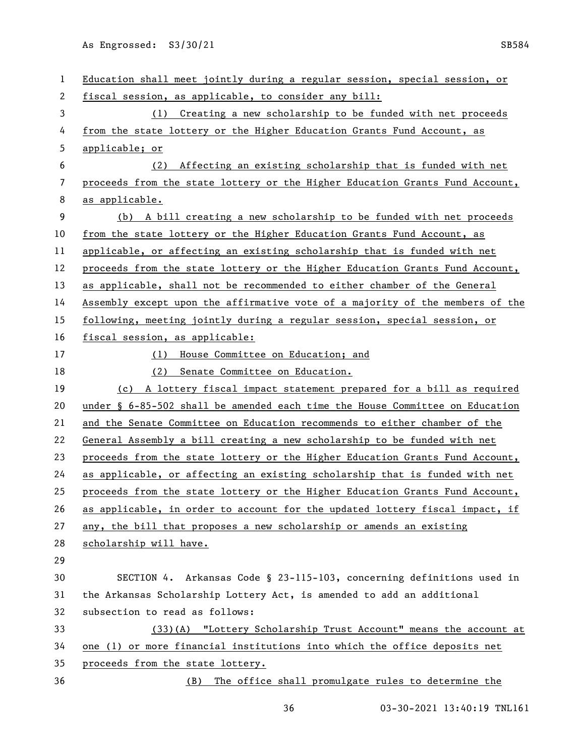| 1  | Education shall meet jointly during a regular session, special session, or    |
|----|-------------------------------------------------------------------------------|
| 2  | fiscal session, as applicable, to consider any bill:                          |
| 3  | (1) Creating a new scholarship to be funded with net proceeds                 |
| 4  | from the state lottery or the Higher Education Grants Fund Account, as        |
| 5  | applicable; or                                                                |
| 6  | Affecting an existing scholarship that is funded with net<br>(2)              |
| 7  | proceeds from the state lottery or the Higher Education Grants Fund Account,  |
| 8  | as applicable.                                                                |
| 9  | (b) A bill creating a new scholarship to be funded with net proceeds          |
| 10 | from the state lottery or the Higher Education Grants Fund Account, as        |
| 11 | applicable, or affecting an existing scholarship that is funded with net      |
| 12 | proceeds from the state lottery or the Higher Education Grants Fund Account,  |
| 13 | as applicable, shall not be recommended to either chamber of the General      |
| 14 | Assembly except upon the affirmative vote of a majority of the members of the |
| 15 | following, meeting jointly during a regular session, special session, or      |
| 16 | fiscal session, as applicable:                                                |
| 17 | House Committee on Education; and<br>(1)                                      |
| 18 | (2) Senate Committee on Education.                                            |
| 19 | (c) A lottery fiscal impact statement prepared for a bill as required         |
| 20 | under § 6-85-502 shall be amended each time the House Committee on Education  |
| 21 | and the Senate Committee on Education recommends to either chamber of the     |
| 22 | General Assembly a bill creating a new scholarship to be funded with net      |
| 23 | proceeds from the state lottery or the Higher Education Grants Fund Account,  |
| 24 | as applicable, or affecting an existing scholarship that is funded with net   |
| 25 | proceeds from the state lottery or the Higher Education Grants Fund Account,  |
| 26 | as applicable, in order to account for the updated lottery fiscal impact, if  |
| 27 | any, the bill that proposes a new scholarship or amends an existing           |
| 28 | scholarship will have.                                                        |
| 29 |                                                                               |
| 30 | SECTION 4. Arkansas Code § 23-115-103, concerning definitions used in         |
| 31 | the Arkansas Scholarship Lottery Act, is amended to add an additional         |
| 32 | subsection to read as follows:                                                |
| 33 | (33)(A) "Lottery Scholarship Trust Account" means the account at              |
| 34 | one (1) or more financial institutions into which the office deposits net     |
| 35 | proceeds from the state lottery.                                              |
| 36 | The office shall promulgate rules to determine the<br>(B)                     |
|    |                                                                               |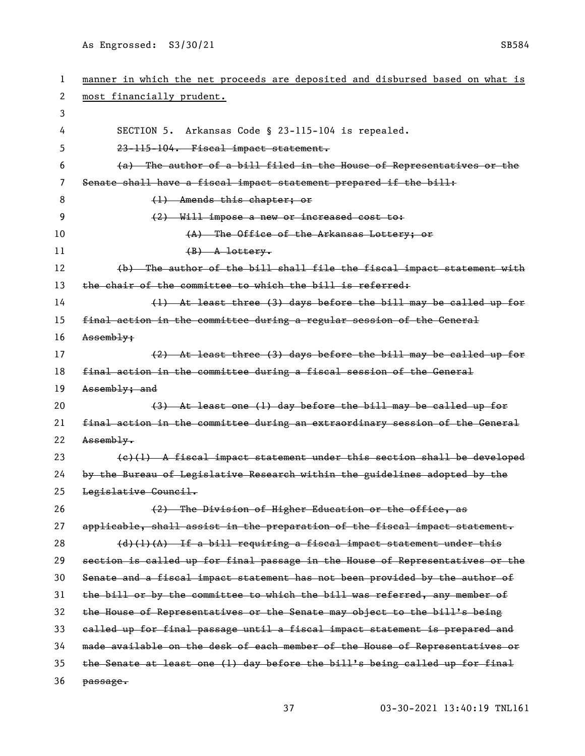| 1  | manner in which the net proceeds are deposited and disbursed based on what is |
|----|-------------------------------------------------------------------------------|
| 2  | most financially prudent.                                                     |
| 3  |                                                                               |
| 4  | Arkansas Code § 23-115-104 is repealed.<br>SECTION 5.                         |
| 5  | 23-115-104. Fiscal impact statement.                                          |
| 6  | (a) The author of a bill filed in the House of Representatives or the         |
| 7  | Senate shall have a fiscal impact statement prepared if the bill:             |
| 8  | $(1)$ Amends this chapter; or                                                 |
| 9  | (2) Will impose a new or increased cost to:                                   |
| 10 | (A) The Office of the Arkansas Lottery; or                                    |
| 11 | $(B)$ A lottery.                                                              |
| 12 | (b) The author of the bill shall file the fiseal impact statement with        |
| 13 | the chair of the committee to which the bill is referred:                     |
| 14 | (1) At least three (3) days before the bill may be called up for              |
| 15 | final action in the committee during a regular session of the General         |
| 16 | Assembly;                                                                     |
| 17 | (2) At least three (3) days before the bill may be called up for              |
| 18 | final action in the committee during a fiscal session of the General          |
| 19 | Assembly; and                                                                 |
| 20 | (3) At least one (1) day before the bill may be called up for                 |
| 21 | final action in the committee during an extraordinary session of the General  |
| 22 | Assembly.                                                                     |
| 23 | $(e)(1)$ A fiscal impact statement under this section shall be developed      |
| 24 | by the Bureau of Legislative Research within the guidelines adopted by the    |
| 25 | Legislative Council.                                                          |
| 26 | (2) The Division of Higher Education or the office, as                        |
| 27 | applicable, shall assist in the preparation of the fiscal impact statement.   |
| 28 | $(d)$ (1)(A) If a bill requiring a fiscal impact statement under this         |
| 29 | section is called up for final passage in the House of Representatives or the |
| 30 | Senate and a fiscal impact statement has not been provided by the author of   |
| 31 | the bill or by the committee to which the bill was referred, any member of    |
| 32 | the House of Representatives or the Senate may object to the bill's being     |
| 33 | ealled up for final passage until a fiscal impact statement is prepared and   |
| 34 | made available on the desk of each member of the House of Representatives or  |
| 35 | the Senate at least one (1) day before the bill's being called up for final   |
| 36 |                                                                               |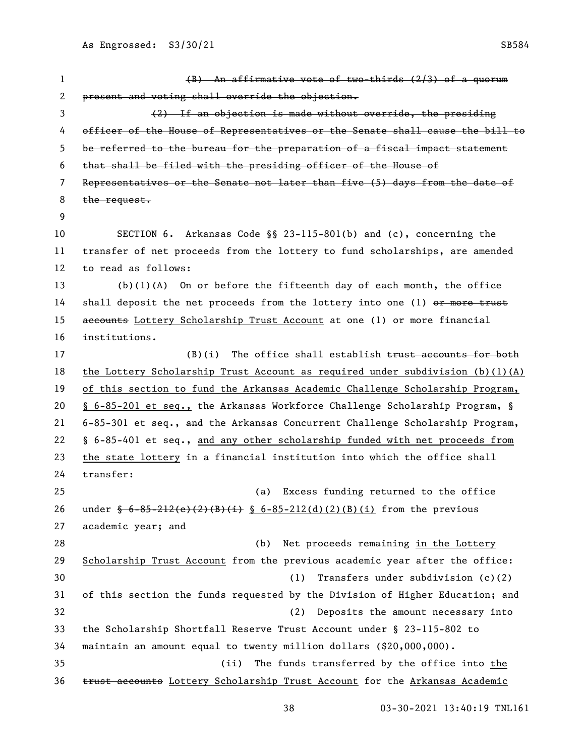(B) An affirmative vote of two-thirds (2/3) of a quorum present and voting shall override the objection. (2) If an objection is made without override, the presiding officer of the House of Representatives or the Senate shall cause the bill to be referred to the bureau for the preparation of a fiscal impact statement that shall be filed with the presiding officer of the House of Representatives or the Senate not later than five (5) days from the date of 8 the request. SECTION 6. Arkansas Code §§ 23-115-801(b) and (c), concerning the transfer of net proceeds from the lottery to fund scholarships, are amended to read as follows: (b)(1)(A) On or before the fifteenth day of each month, the office 14 shall deposit the net proceeds from the lottery into one (1) or more trust 15 accounts Lottery Scholarship Trust Account at one (1) or more financial institutions. 17 (B)(i) The office shall establish trust accounts for both the Lottery Scholarship Trust Account as required under subdivision (b)(1)(A) of this section to fund the Arkansas Academic Challenge Scholarship Program, § 6-85-201 et seq., the Arkansas Workforce Challenge Scholarship Program, § 21 6-85-301 et seq., and the Arkansas Concurrent Challenge Scholarship Program, § 6-85-401 et seq., and any other scholarship funded with net proceeds from the state lottery in a financial institution into which the office shall transfer: (a) Excess funding returned to the office 26 under  $\frac{6-85-212(e)(2)(B)(i)}{8-6-85-212(d)(2)(B)(i)}$  from the previous academic year; and (b) Net proceeds remaining in the Lottery Scholarship Trust Account from the previous academic year after the office: (1) Transfers under subdivision (c)(2) of this section the funds requested by the Division of Higher Education; and (2) Deposits the amount necessary into the Scholarship Shortfall Reserve Trust Account under § 23-115-802 to maintain an amount equal to twenty million dollars (\$20,000,000). (ii) The funds transferred by the office into the 36 trust accounts Lottery Scholarship Trust Account for the Arkansas Academic

As Engrossed: S3/30/21 SB584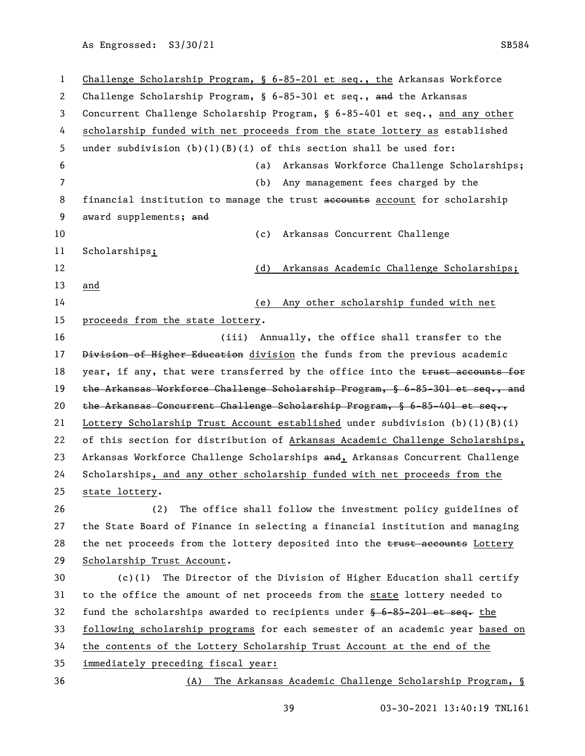Challenge Scholarship Program, § 6-85-201 et seq., the Arkansas Workforce Challenge Scholarship Program, § 6-85-301 et seq., and the Arkansas Concurrent Challenge Scholarship Program, § 6-85-401 et seq., and any other scholarship funded with net proceeds from the state lottery as established under subdivision (b)(1)(B)(i) of this section shall be used for: (a) Arkansas Workforce Challenge Scholarships; (b) Any management fees charged by the 8 financial institution to manage the trust accounts account for scholarship 9 award supplements; and (c) Arkansas Concurrent Challenge Scholarships; (d) Arkansas Academic Challenge Scholarships; and (e) Any other scholarship funded with net 15 proceeds from the state lottery. (iii) Annually, the office shall transfer to the 17 Division of Higher Education division the funds from the previous academic 18 year, if any, that were transferred by the office into the trust accounts for 19 the Arkansas Workforce Challenge Scholarship Program, § 6-85-301 et seq., and the Arkansas Concurrent Challenge Scholarship Program, § 6-85-401 et seq., Lottery Scholarship Trust Account established under subdivision (b)(1)(B)(i) of this section for distribution of Arkansas Academic Challenge Scholarships, 23 Arkansas Workforce Challenge Scholarships and, Arkansas Concurrent Challenge Scholarships, and any other scholarship funded with net proceeds from the state lottery. (2) The office shall follow the investment policy guidelines of the State Board of Finance in selecting a financial institution and managing 28 the net proceeds from the lottery deposited into the trust accounts Lottery Scholarship Trust Account. (c)(1) The Director of the Division of Higher Education shall certify to the office the amount of net proceeds from the state lottery needed to 32 fund the scholarships awarded to recipients under  $\frac{6}{5}$  6-85-201 et seq. the following scholarship programs for each semester of an academic year based on the contents of the Lottery Scholarship Trust Account at the end of the immediately preceding fiscal year: (A) The Arkansas Academic Challenge Scholarship Program, §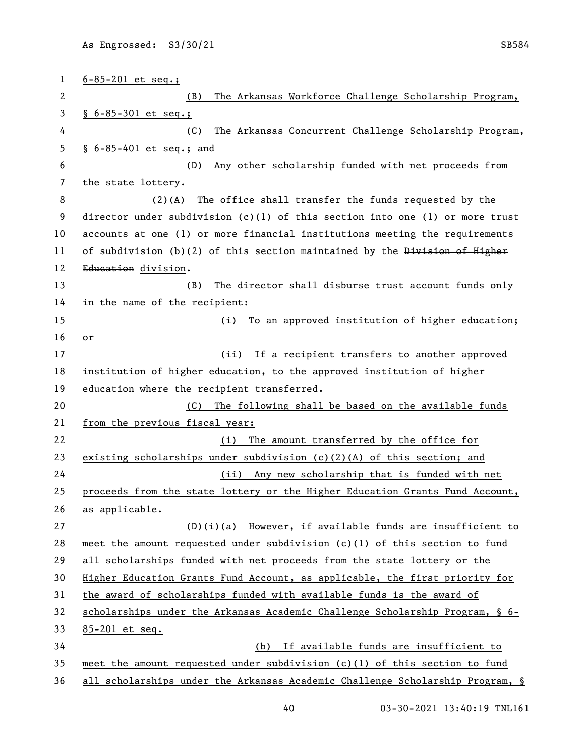| $\mathbf{1}$ | $6 - 85 - 201$ et seq.;                                                       |
|--------------|-------------------------------------------------------------------------------|
| 2            | The Arkansas Workforce Challenge Scholarship Program,<br>(B)                  |
| 3            | $§ 6 - 85 - 301$ et seq.;                                                     |
| 4            | The Arkansas Concurrent Challenge Scholarship Program,<br>(C)                 |
| 5            | $$6-85-401$ et seq.; and                                                      |
| 6            | Any other scholarship funded with net proceeds from<br>(D)                    |
| 7            | the state lottery.                                                            |
| 8            | $(2)$ (A)<br>The office shall transfer the funds requested by the             |
| 9            | director under subdivision (c)(1) of this section into one (1) or more trust  |
| 10           | accounts at one (1) or more financial institutions meeting the requirements   |
| 11           | of subdivision (b)(2) of this section maintained by the Division of Higher    |
| 12           | Education division.                                                           |
| 13           | The director shall disburse trust account funds only<br>(B)                   |
| 14           | in the name of the recipient:                                                 |
| 15           | (i)<br>To an approved institution of higher education;                        |
| 16           | or                                                                            |
| 17           | If a recipient transfers to another approved<br>(iii)                         |
| 18           | institution of higher education, to the approved institution of higher        |
| 19           | education where the recipient transferred.                                    |
| 20           | The following shall be based on the available funds<br>(C)                    |
| 21           | from the previous fiscal year:                                                |
| 22           | The amount transferred by the office for<br>(i)                               |
| 23           | existing scholarships under subdivision $(c)(2)(A)$ of this section; and      |
| 24           | (ii) Any new scholarship that is funded with net                              |
| 25           | proceeds from the state lottery or the Higher Education Grants Fund Account,  |
| 26           | as applicable.                                                                |
| 27           | $(D)(i)(a)$ However, if available funds are insufficient to                   |
| 28           | meet the amount requested under subdivision $(c)(1)$ of this section to fund  |
| 29           | all scholarships funded with net proceeds from the state lottery or the       |
| 30           | Higher Education Grants Fund Account, as applicable, the first priority for   |
| 31           | the award of scholarships funded with available funds is the award of         |
| 32           | scholarships under the Arkansas Academic Challenge Scholarship Program, § 6-  |
| 33           | 85-201 et seq.                                                                |
| 34           | If available funds are insufficient to<br>(b)                                 |
| 35           | meet the amount requested under subdivision (c)(1) of this section to fund    |
| 36           | all scholarships under the Arkansas Academic Challenge Scholarship Program, § |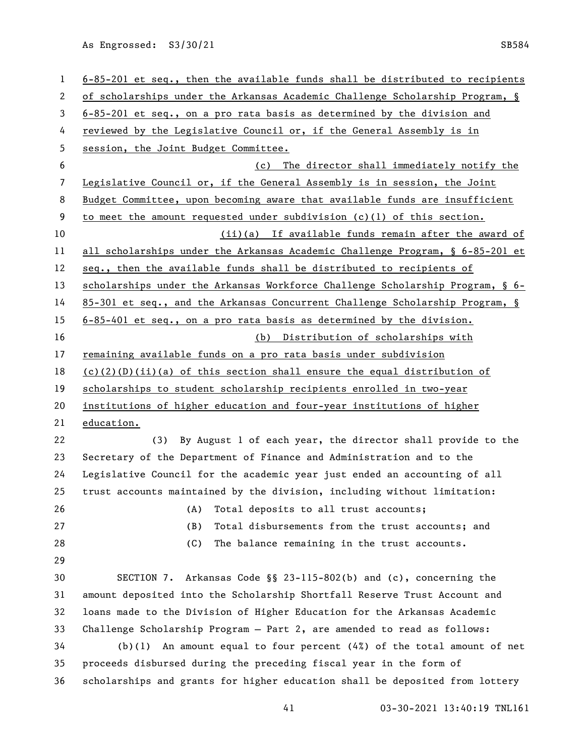| 1  | $6-85-201$ et seq., then the available funds shall be distributed to recipients |
|----|---------------------------------------------------------------------------------|
| 2  | of scholarships under the Arkansas Academic Challenge Scholarship Program, §    |
| 3  | $6-85-201$ et seq., on a pro rata basis as determined by the division and       |
| 4  | reviewed by the Legislative Council or, if the General Assembly is in           |
| 5  | session, the Joint Budget Committee.                                            |
| 6  | The director shall immediately notify the<br>(c)                                |
| 7  | Legislative Council or, if the General Assembly is in session, the Joint        |
| 8  | Budget Committee, upon becoming aware that available funds are insufficient     |
| 9  | to meet the amount requested under subdivision (c)(1) of this section.          |
| 10 | (ii)(a) If available funds remain after the award of                            |
| 11 | all scholarships under the Arkansas Academic Challenge Program, § 6-85-201 et   |
| 12 | seq., then the available funds shall be distributed to recipients of            |
| 13 | scholarships under the Arkansas Workforce Challenge Scholarship Program, § 6-   |
| 14 | 85-301 et seq., and the Arkansas Concurrent Challenge Scholarship Program, §    |
| 15 | $6-85-401$ et seq., on a pro rata basis as determined by the division.          |
| 16 | (b) Distribution of scholarships with                                           |
| 17 | remaining available funds on a pro rata basis under subdivision                 |
| 18 | $(c)(2)(D)(ii)(a)$ of this section shall ensure the equal distribution of       |
| 19 | scholarships to student scholarship recipients enrolled in two-year             |
| 20 | institutions of higher education and four-year institutions of higher           |
| 21 | education.                                                                      |
| 22 | By August 1 of each year, the director shall provide to the<br>(3)              |
| 23 | Secretary of the Department of Finance and Administration and to the            |
| 24 | Legislative Council for the academic year just ended an accounting of all       |
| 25 | trust accounts maintained by the division, including without limitation:        |
| 26 | (A)<br>Total deposits to all trust accounts;                                    |
| 27 | (B)<br>Total disbursements from the trust accounts; and                         |
| 28 | (C)<br>The balance remaining in the trust accounts.                             |
| 29 |                                                                                 |
| 30 | SECTION 7. Arkansas Code §§ 23-115-802(b) and (c), concerning the               |
| 31 | amount deposited into the Scholarship Shortfall Reserve Trust Account and       |
| 32 | loans made to the Division of Higher Education for the Arkansas Academic        |
| 33 | Challenge Scholarship Program - Part 2, are amended to read as follows:         |
| 34 | $(b)(1)$ An amount equal to four percent $(4%)$ of the total amount of net      |
| 35 | proceeds disbursed during the preceding fiscal year in the form of              |
| 36 | scholarships and grants for higher education shall be deposited from lottery    |
|    |                                                                                 |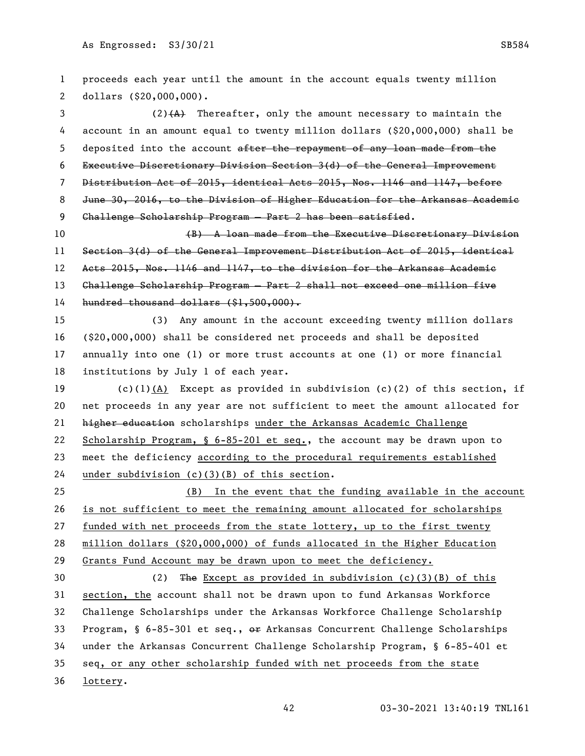proceeds each year until the amount in the account equals twenty million dollars (\$20,000,000). 3 (2)(A) Thereafter, only the amount necessary to maintain the account in an amount equal to twenty million dollars (\$20,000,000) shall be 5 deposited into the account after the repayment of any loan made from the Executive Discretionary Division Section 3(d) of the General Improvement Distribution Act of 2015, identical Acts 2015, Nos. 1146 and 1147, before June 30, 2016, to the Division of Higher Education for the Arkansas Academic Challenge Scholarship Program — Part 2 has been satisfied. (B) A loan made from the Executive Discretionary Division Section 3(d) of the General Improvement Distribution Act of 2015, identical Acts 2015, Nos. 1146 and 1147, to the division for the Arkansas Academic Challenge Scholarship Program — Part 2 shall not exceed one million five hundred thousand dollars (\$1,500,000). (3) Any amount in the account exceeding twenty million dollars (\$20,000,000) shall be considered net proceeds and shall be deposited annually into one (1) or more trust accounts at one (1) or more financial institutions by July 1 of each year. (c)(1)(A) Except as provided in subdivision (c)(2) of this section, if net proceeds in any year are not sufficient to meet the amount allocated for **higher education** scholarships under the Arkansas Academic Challenge Scholarship Program, § 6-85-201 et seq., the account may be drawn upon to meet the deficiency according to the procedural requirements established under subdivision (c)(3)(B) of this section. (B) In the event that the funding available in the account is not sufficient to meet the remaining amount allocated for scholarships funded with net proceeds from the state lottery, up to the first twenty million dollars (\$20,000,000) of funds allocated in the Higher Education Grants Fund Account may be drawn upon to meet the deficiency. (2) The Except as provided in subdivision (c)(3)(B) of this section, the account shall not be drawn upon to fund Arkansas Workforce Challenge Scholarships under the Arkansas Workforce Challenge Scholarship 33 Program, § 6-85-301 et seq.,  $\Theta$  Arkansas Concurrent Challenge Scholarships under the Arkansas Concurrent Challenge Scholarship Program, § 6-85-401 et seq, or any other scholarship funded with net proceeds from the state 36 lottery.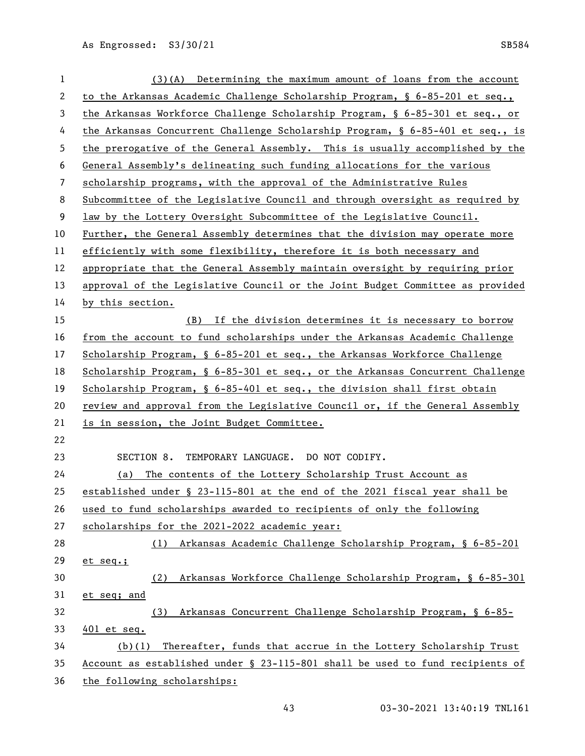| $\mathbf{1}$ | $(3)$ (A) Determining the maximum amount of loans from the account              |
|--------------|---------------------------------------------------------------------------------|
| 2            | to the Arkansas Academic Challenge Scholarship Program, § $6-85-201$ et seq.,   |
| 3            | the Arkansas Workforce Challenge Scholarship Program, § 6-85-301 et seq., or    |
| 4            | the Arkansas Concurrent Challenge Scholarship Program, § $6-85-401$ et seq., is |
| 5            | the prerogative of the General Assembly. This is usually accomplished by the    |
| 6            | General Assembly's delineating such funding allocations for the various         |
| 7            | scholarship programs, with the approval of the Administrative Rules             |
| 8            | Subcommittee of the Legislative Council and through oversight as required by    |
| 9            | law by the Lottery Oversight Subcommittee of the Legislative Council.           |
| 10           | Further, the General Assembly determines that the division may operate more     |
| 11           | efficiently with some flexibility, therefore it is both necessary and           |
| 12           | appropriate that the General Assembly maintain oversight by requiring prior     |
| 13           | approval of the Legislative Council or the Joint Budget Committee as provided   |
| 14           | by this section.                                                                |
| 15           | (B) If the division determines it is necessary to borrow                        |
| 16           | from the account to fund scholarships under the Arkansas Academic Challenge     |
| 17           | Scholarship Program, § 6-85-201 et seq., the Arkansas Workforce Challenge       |
| 18           | Scholarship Program, § 6-85-301 et seq., or the Arkansas Concurrent Challenge   |
| 19           | Scholarship Program, § 6-85-401 et seq., the division shall first obtain        |
| 20           | review and approval from the Legislative Council or, if the General Assembly    |
| 21           | is in session, the Joint Budget Committee.                                      |
| 22           |                                                                                 |
| 23           | SECTION 8. TEMPORARY LANGUAGE. DO NOT CODIFY.                                   |
| 24           | (a) The contents of the Lottery Scholarship Trust Account as                    |
| 25           | established under § 23-115-801 at the end of the 2021 fiscal year shall be      |
| 26           | used to fund scholarships awarded to recipients of only the following           |
| 27           | scholarships for the 2021-2022 academic year:                                   |
| 28           | Arkansas Academic Challenge Scholarship Program, § 6-85-201<br>(1)              |
| 29           | $et seq.$ ;                                                                     |
| 30           | Arkansas Workforce Challenge Scholarship Program, § 6-85-301<br>(2)             |
| 31           | et seq; and                                                                     |
| 32           | Arkansas Concurrent Challenge Scholarship Program, § 6-85-<br>(3)               |
| 33           | $401$ et seq.                                                                   |
| 34           | Thereafter, funds that accrue in the Lottery Scholarship Trust<br>(b)(1)        |
| 35           | Account as established under § 23-115-801 shall be used to fund recipients of   |
| 36           | the following scholarships:                                                     |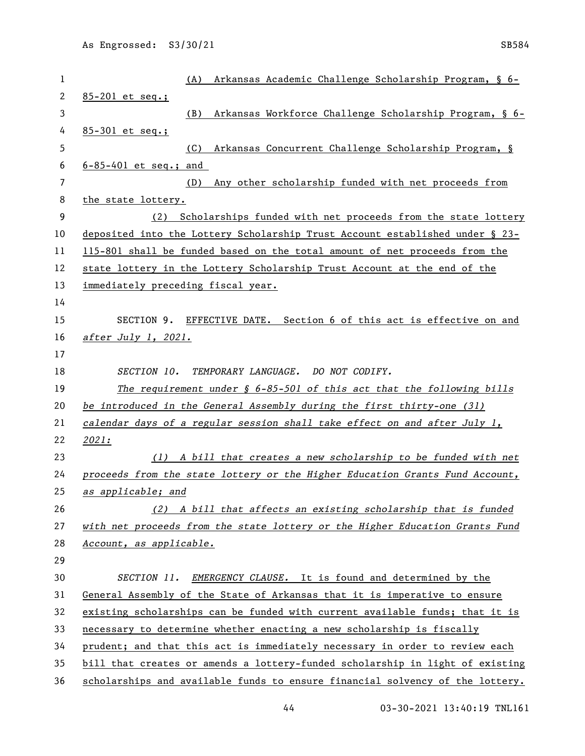| $\mathbf{1}$         | Arkansas Academic Challenge Scholarship Program, § 6-<br>(A)                      |
|----------------------|-----------------------------------------------------------------------------------|
| $\mathbf{2}$         | $85 - 201$ et seq.;                                                               |
| 3                    | Arkansas Workforce Challenge Scholarship Program, § 6-<br>(B)                     |
| 4                    | $85 - 301$ et seq.;                                                               |
| 5                    | (C)<br>Arkansas Concurrent Challenge Scholarship Program, §                       |
| 6<br>$7\overline{ }$ | $6 - 85 - 401$ et seq.; and                                                       |
| 8                    | Any other scholarship funded with net proceeds from<br>(D)<br>the state lottery.  |
| 9                    | Scholarships funded with net proceeds from the state lottery<br>(2)               |
| 10                   | deposited into the Lottery Scholarship Trust Account established under § 23-      |
| 11                   | 115-801 shall be funded based on the total amount of net proceeds from the        |
| 12                   | state lottery in the Lottery Scholarship Trust Account at the end of the          |
| 13                   | immediately preceding fiscal year.                                                |
| 14                   |                                                                                   |
| 15                   | SECTION 9. EFFECTIVE DATE. Section 6 of this act is effective on and              |
| 16                   | after July 1, 2021.                                                               |
| 17                   |                                                                                   |
| 18                   | SECTION 10.<br>TEMPORARY LANGUAGE. DO NOT CODIFY.                                 |
| 19                   | The requirement under $\frac{1}{2}$ 6-85-501 of this act that the following bills |
| 20                   | be introduced in the General Assembly during the first thirty-one (31)            |
| 21                   | calendar days of a regular session shall take effect on and after July 1,         |
| 22                   | 2021:                                                                             |
| 23                   | (1) A bill that creates a new scholarship to be funded with net                   |
| 24                   | proceeds from the state lottery or the Higher Education Grants Fund Account,      |
| 25                   | as applicable; and                                                                |
| 26                   | (2) A bill that affects an existing scholarship that is funded                    |
| 27                   | with net proceeds from the state lottery or the Higher Education Grants Fund      |
| 28                   | Account, as applicable.                                                           |
| 29                   |                                                                                   |
| 30                   | SECTION 11. EMERGENCY CLAUSE. It is found and determined by the                   |
| 31                   | General Assembly of the State of Arkansas that it is imperative to ensure         |
| 32                   | existing scholarships can be funded with current available funds; that it is      |
| 33                   | necessary to determine whether enacting a new scholarship is fiscally             |
| 34                   | prudent; and that this act is immediately necessary in order to review each       |
| 35                   | bill that creates or amends a lottery-funded scholarship in light of existing     |
| 36                   | scholarships and available funds to ensure financial solvency of the lottery.     |